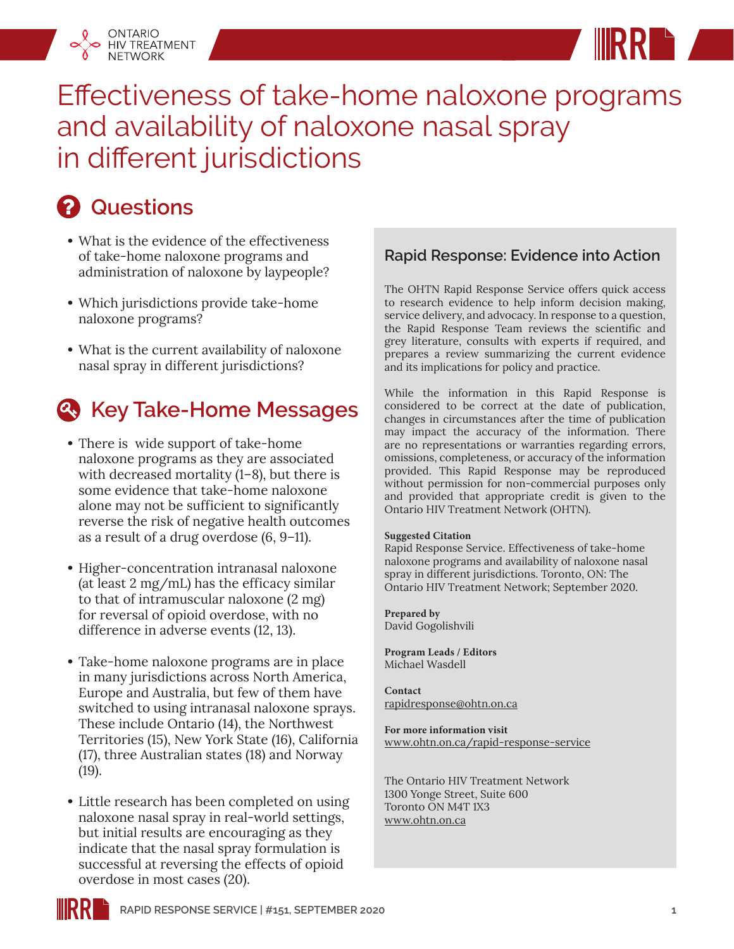



## **Questions**

ONTARIO HIV TREATMENT **NETWORK** 

- **•** What is the evidence of the effectiveness of take-home naloxone programs and administration of naloxone by laypeople?
- **•** Which jurisdictions provide take-home naloxone programs?
- **•** What is the current availability of naloxone nasal spray in different jurisdictions?

## **4. Key Take-Home Messages**

- **•** There is wide support of take-home naloxone programs as they are associated with decreased mortality (1–8), but there is some evidence that take-home naloxone alone may not be sufficient to significantly reverse the risk of negative health outcomes as a result of a drug overdose (6, 9–11).
- **•** Higher-concentration intranasal naloxone (at least 2 mg/mL) has the efficacy similar to that of intramuscular naloxone (2 mg) for reversal of opioid overdose, with no difference in adverse events (12, 13).
- **•** Take-home naloxone programs are in place in many jurisdictions across North America, Europe and Australia, but few of them have switched to using intranasal naloxone sprays. These include Ontario (14), the Northwest Territories (15), New York State (16), California (17), three Australian states (18) and Norway (19).
- **•** Little research has been completed on using naloxone nasal spray in real-world settings, but initial results are encouraging as they indicate that the nasal spray formulation is successful at reversing the effects of opioid overdose in most cases (20).

### **Rapid Response: Evidence into Action**

The OHTN Rapid Response Service offers quick access to research evidence to help inform decision making, service delivery, and advocacy. In response to a question, the Rapid Response Team reviews the scientific and grey literature, consults with experts if required, and prepares a review summarizing the current evidence and its implications for policy and practice.

While the information in this Rapid Response is considered to be correct at the date of publication, changes in circumstances after the time of publication may impact the accuracy of the information. There are no representations or warranties regarding errors, omissions, completeness, or accuracy of the information provided. This Rapid Response may be reproduced without permission for non-commercial purposes only and provided that appropriate credit is given to the Ontario HIV Treatment Network (OHTN).

#### **Suggested Citation**

Rapid Response Service. Effectiveness of take-home naloxone programs and availability of naloxone nasal spray in different jurisdictions. Toronto, ON: The Ontario HIV Treatment Network; September 2020.

**Prepared by** David Gogolishvili

**Program Leads / Editors** Michael Wasdell

**Contact** rapidresponse@ohtn.on.ca

**For more information visit** [www.ohtn.on.ca/rapid-response-service](http://www.ohtn.on.ca/rapid-response-service)

The Ontario HIV Treatment Network 1300 Yonge Street, Suite 600 Toronto ON M4T 1X3 www.ohtn.on.ca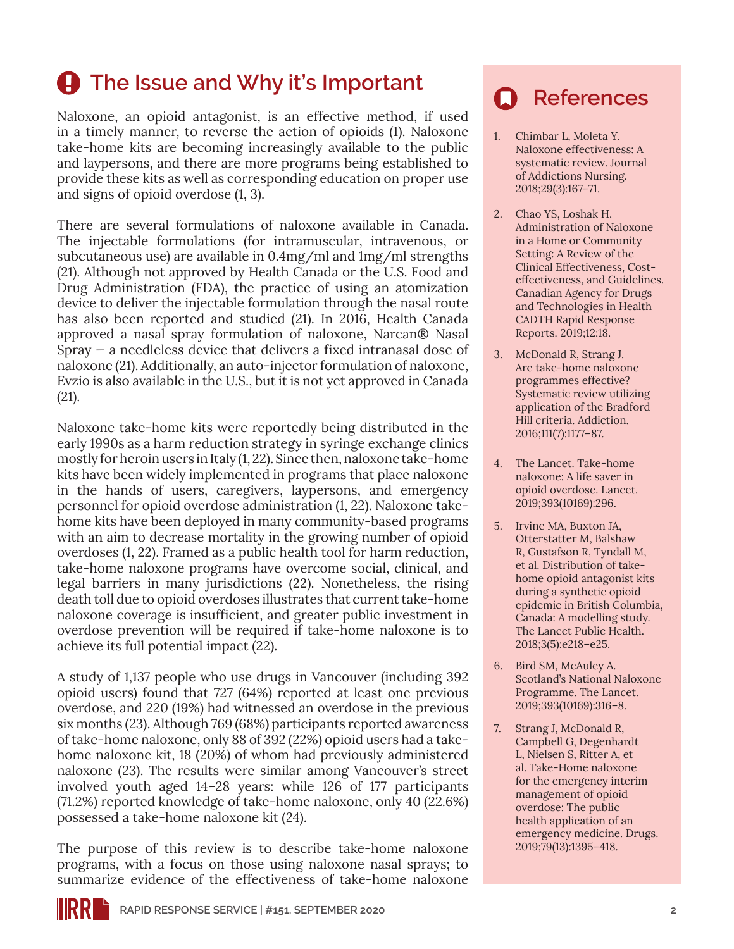# **4** The Issue and Why it's Important

Naloxone, an opioid antagonist, is an effective method, if used in a timely manner, to reverse the action of opioids (1). Naloxone take-home kits are becoming increasingly available to the public and laypersons, and there are more programs being established to provide these kits as well as corresponding education on proper use and signs of opioid overdose (1, 3).

There are several formulations of naloxone available in Canada. The injectable formulations (for intramuscular, intravenous, or subcutaneous use) are available in 0.4mg/ml and 1mg/ml strengths (21). Although not approved by Health Canada or the U.S. Food and Drug Administration (FDA), the practice of using an atomization device to deliver the injectable formulation through the nasal route has also been reported and studied (21). In 2016, Health Canada approved a nasal spray formulation of naloxone, Narcan® Nasal Spray — a needleless device that delivers a fixed intranasal dose of naloxone (21). Additionally, an auto-injector formulation of naloxone, Evzio is also available in the U.S., but it is not yet approved in Canada (21).

Naloxone take-home kits were reportedly being distributed in the early 1990s as a harm reduction strategy in syringe exchange clinics mostly for heroin users in Italy (1, 22). Since then, naloxone take-home kits have been widely implemented in programs that place naloxone in the hands of users, caregivers, laypersons, and emergency personnel for opioid overdose administration (1, 22). Naloxone takehome kits have been deployed in many community-based programs with an aim to decrease mortality in the growing number of opioid overdoses (1, 22). Framed as a public health tool for harm reduction, take-home naloxone programs have overcome social, clinical, and legal barriers in many jurisdictions (22). Nonetheless, the rising death toll due to opioid overdoses illustrates that current take-home naloxone coverage is insufficient, and greater public investment in overdose prevention will be required if take-home naloxone is to achieve its full potential impact (22).

A study of 1,137 people who use drugs in Vancouver (including 392 opioid users) found that 727 (64%) reported at least one previous overdose, and 220 (19%) had witnessed an overdose in the previous six months (23). Although 769 (68%) participants reported awareness of take-home naloxone, only 88 of 392 (22%) opioid users had a takehome naloxone kit, 18 (20%) of whom had previously administered naloxone (23). The results were similar among Vancouver's street involved youth aged 14–28 years: while 126 of 177 participants (71.2%) reported knowledge of take-home naloxone, only 40 (22.6%) possessed a take-home naloxone kit (24).

The purpose of this review is to describe take-home naloxone programs, with a focus on those using naloxone nasal sprays; to summarize evidence of the effectiveness of take-home naloxone

## **References**

- 1. Chimbar L, Moleta Y. Naloxone effectiveness: A systematic review. Journal of Addictions Nursing. 2018;29(3):167–71.
- 2. Chao YS, Loshak H. Administration of Naloxone in a Home or Community Setting: A Review of the Clinical Effectiveness, Costeffectiveness, and Guidelines. Canadian Agency for Drugs and Technologies in Health CADTH Rapid Response Reports. 2019;12:18.
- 3. McDonald R, Strang J. Are take-home naloxone programmes effective? Systematic review utilizing application of the Bradford Hill criteria. Addiction. 2016;111(7):1177–87.
- 4. The Lancet. Take-home naloxone: A life saver in opioid overdose. Lancet. 2019;393(10169):296.
- 5. Irvine MA, Buxton JA, Otterstatter M, Balshaw R, Gustafson R, Tyndall M, et al. Distribution of takehome opioid antagonist kits during a synthetic opioid epidemic in British Columbia, Canada: A modelling study. The Lancet Public Health. 2018;3(5):e218–e25.
- 6. Bird SM, McAuley A. Scotland's National Naloxone Programme. The Lancet. 2019;393(10169):316–8.
- 7. Strang J, McDonald R, Campbell G, Degenhardt L, Nielsen S, Ritter A, et al. Take-Home naloxone for the emergency interim management of opioid overdose: The public health application of an emergency medicine. Drugs. 2019;79(13):1395–418.

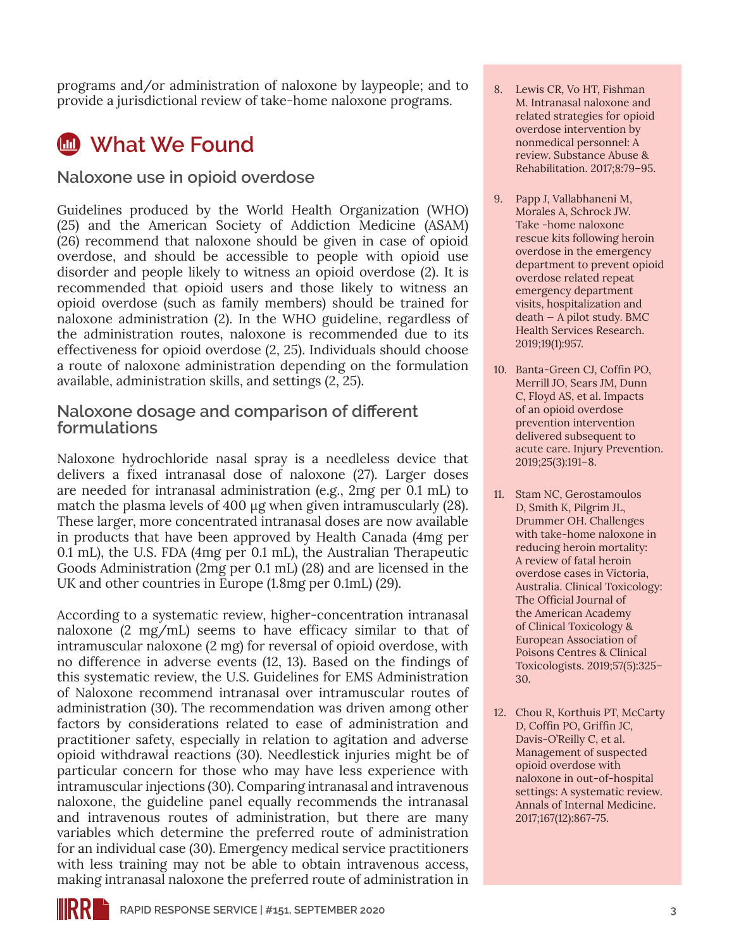programs and/or administration of naloxone by laypeople; and to provide a jurisdictional review of take-home naloxone programs.

## *M* What We Found

### **Naloxone use in opioid overdose**

Guidelines produced by the World Health Organization (WHO) (25) and the American Society of Addiction Medicine (ASAM) (26) recommend that naloxone should be given in case of opioid overdose, and should be accessible to people with opioid use disorder and people likely to witness an opioid overdose (2). It is recommended that opioid users and those likely to witness an opioid overdose (such as family members) should be trained for naloxone administration (2). In the WHO guideline, regardless of the administration routes, naloxone is recommended due to its effectiveness for opioid overdose (2, 25). Individuals should choose a route of naloxone administration depending on the formulation available, administration skills, and settings (2, 25).

#### **Naloxone dosage and comparison of different formulations**

Naloxone hydrochloride nasal spray is a needleless device that delivers a fixed intranasal dose of naloxone (27). Larger doses are needed for intranasal administration (e.g., 2mg per 0.1 mL) to match the plasma levels of 400 μg when given intramuscularly (28). These larger, more concentrated intranasal doses are now available in products that have been approved by Health Canada (4mg per 0.1 mL), the U.S. FDA (4mg per 0.1 mL), the Australian Therapeutic Goods Administration (2mg per 0.1 mL) (28) and are licensed in the UK and other countries in Europe (1.8mg per 0.1mL) (29).

According to a systematic review, higher-concentration intranasal naloxone (2 mg/mL) seems to have efficacy similar to that of intramuscular naloxone (2 mg) for reversal of opioid overdose, with no difference in adverse events (12, 13). Based on the findings of this systematic review, the U.S. Guidelines for EMS Administration of Naloxone recommend intranasal over intramuscular routes of administration (30). The recommendation was driven among other factors by considerations related to ease of administration and practitioner safety, especially in relation to agitation and adverse opioid withdrawal reactions (30). Needlestick injuries might be of particular concern for those who may have less experience with intramuscular injections (30). Comparing intranasal and intravenous naloxone, the guideline panel equally recommends the intranasal and intravenous routes of administration, but there are many variables which determine the preferred route of administration for an individual case (30). Emergency medical service practitioners with less training may not be able to obtain intravenous access, making intranasal naloxone the preferred route of administration in

- 8. Lewis CR, Vo HT, Fishman M. Intranasal naloxone and related strategies for opioid overdose intervention by nonmedical personnel: A review. Substance Abuse & Rehabilitation. 2017;8:79–95.
- 9. Papp J, Vallabhaneni M, Morales A, Schrock JW. Take -home naloxone rescue kits following heroin overdose in the emergency department to prevent opioid overdose related repeat emergency department visits, hospitalization and death — A pilot study. BMC Health Services Research. 2019;19(1):957.
- 10. Banta-Green CJ, Coffin PO, Merrill JO, Sears JM, Dunn C, Floyd AS, et al. Impacts of an opioid overdose prevention intervention delivered subsequent to acute care. Injury Prevention. 2019;25(3):191–8.
- 11. Stam NC, Gerostamoulos D, Smith K, Pilgrim JL, Drummer OH. Challenges with take-home naloxone in reducing heroin mortality: A review of fatal heroin overdose cases in Victoria, Australia. Clinical Toxicology: The Official Journal of the American Academy of Clinical Toxicology & European Association of Poisons Centres & Clinical Toxicologists. 2019;57(5):325– 30.
- 12. Chou R, Korthuis PT, McCarty D, Coffin PO, Griffin JC, Davis-O'Reilly C, et al. Management of suspected opioid overdose with naloxone in out-of-hospital settings: A systematic review. Annals of Internal Medicine. 2017;167(12):867-75.

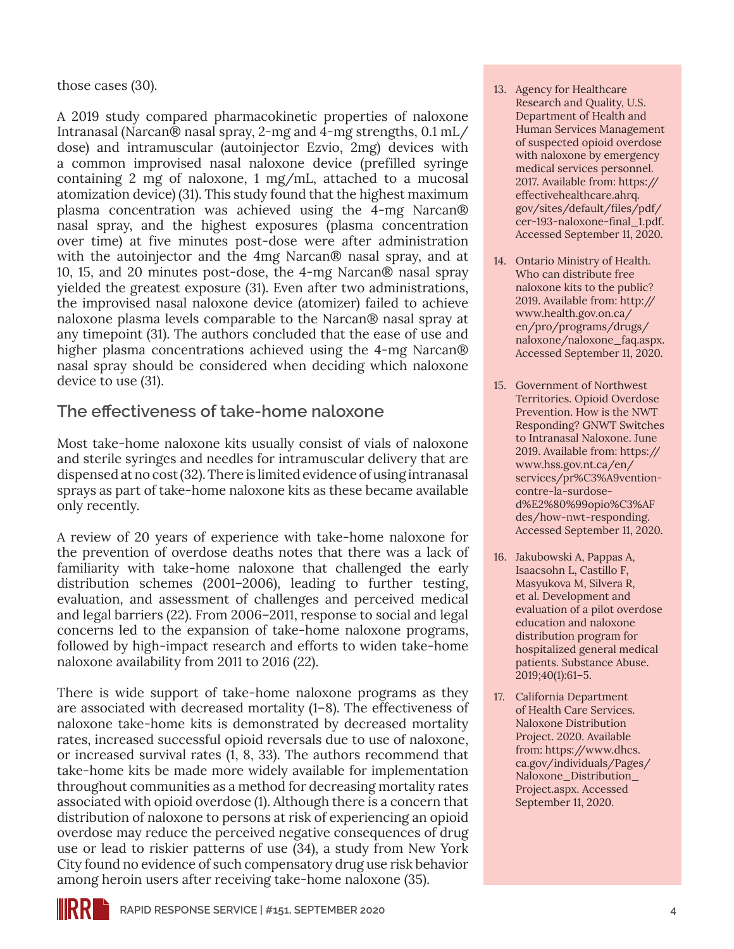those cases (30).

A 2019 study compared pharmacokinetic properties of naloxone Intranasal (Narcan® nasal spray, 2-mg and 4-mg strengths, 0.1 mL/ dose) and intramuscular (autoinjector Ezvio, 2mg) devices with a common improvised nasal naloxone device (prefilled syringe containing 2 mg of naloxone, 1 mg/mL, attached to a mucosal atomization device) (31). This study found that the highest maximum plasma concentration was achieved using the 4-mg Narcan® nasal spray, and the highest exposures (plasma concentration over time) at five minutes post-dose were after administration with the autoinjector and the 4mg Narcan® nasal spray, and at 10, 15, and 20 minutes post-dose, the 4-mg Narcan® nasal spray yielded the greatest exposure (31). Even after two administrations, the improvised nasal naloxone device (atomizer) failed to achieve naloxone plasma levels comparable to the Narcan® nasal spray at any timepoint (31). The authors concluded that the ease of use and higher plasma concentrations achieved using the 4-mg Narcan® nasal spray should be considered when deciding which naloxone device to use (31).

### **The effectiveness of take-home naloxone**

Most take-home naloxone kits usually consist of vials of naloxone and sterile syringes and needles for intramuscular delivery that are dispensed at no cost (32). There is limited evidence of using intranasal sprays as part of take-home naloxone kits as these became available only recently.

A review of 20 years of experience with take-home naloxone for the prevention of overdose deaths notes that there was a lack of familiarity with take-home naloxone that challenged the early distribution schemes (2001–2006), leading to further testing, evaluation, and assessment of challenges and perceived medical and legal barriers (22). From 2006–2011, response to social and legal concerns led to the expansion of take-home naloxone programs, followed by high-impact research and efforts to widen take-home naloxone availability from 2011 to 2016 (22).

There is wide support of take-home naloxone programs as they are associated with decreased mortality (1–8). The effectiveness of naloxone take-home kits is demonstrated by decreased mortality rates, increased successful opioid reversals due to use of naloxone, or increased survival rates (1, 8, 33). The authors recommend that take-home kits be made more widely available for implementation throughout communities as a method for decreasing mortality rates associated with opioid overdose (1). Although there is a concern that distribution of naloxone to persons at risk of experiencing an opioid overdose may reduce the perceived negative consequences of drug use or lead to riskier patterns of use (34), a study from New York City found no evidence of such compensatory drug use risk behavior among heroin users after receiving take-home naloxone (35).

- 13. Agency for Healthcare Research and Quality, U.S. Department of Health and Human Services Management of suspected opioid overdose with naloxone by emergency medical services personnel. 2017. Available from: [https://](https://effectivehealthcare.ahrq.gov/sites/default/files/pdf/cer-193-naloxone-final_1.pd) [effectivehealthcare.ahrq.](https://effectivehealthcare.ahrq.gov/sites/default/files/pdf/cer-193-naloxone-final_1.pd) [gov/sites/default/files/pdf/](https://effectivehealthcare.ahrq.gov/sites/default/files/pdf/cer-193-naloxone-final_1.pd) [cer-193-naloxone-final\\_1.pd](https://effectivehealthcare.ahrq.gov/sites/default/files/pdf/cer-193-naloxone-final_1.pd)f. Accessed September 11, 2020.
- 14. Ontario Ministry of Health. Who can distribute free naloxone kits to the public? 2019. Available from: [http://](http://www.health.gov.on.ca/en/pro/programs/drugs/naloxone/naloxone_faq.aspx) [www.health.gov.on.ca/](http://www.health.gov.on.ca/en/pro/programs/drugs/naloxone/naloxone_faq.aspx) [en/pro/programs/drugs/](http://www.health.gov.on.ca/en/pro/programs/drugs/naloxone/naloxone_faq.aspx) [naloxone/naloxone\\_faq.aspx](http://www.health.gov.on.ca/en/pro/programs/drugs/naloxone/naloxone_faq.aspx). Accessed September 11, 2020.
- 15. Government of Northwest Territories. Opioid Overdose Prevention. How is the NWT Responding? GNWT Switches to Intranasal Naloxone. June 2019. Available from: [https://](https://www.hss.gov.nt.ca/en/services/pr%C3%A9vention-contre-la-surdose-d%E2%80%99opio%C3%AFdes/how-nwt-responding) [www.hss.gov.nt.ca/en/](https://www.hss.gov.nt.ca/en/services/pr%C3%A9vention-contre-la-surdose-d%E2%80%99opio%C3%AFdes/how-nwt-responding) [services/pr%C3%A9vention](https://www.hss.gov.nt.ca/en/services/pr%C3%A9vention-contre-la-surdose-d%E2%80%99opio%C3%AFdes/how-nwt-responding)[contre-la-surdose](https://www.hss.gov.nt.ca/en/services/pr%C3%A9vention-contre-la-surdose-d%E2%80%99opio%C3%AFdes/how-nwt-responding)d%E2%80%99opio%C3%AF des/how-nwt-responding. Accessed September 11, 2020.
- 16. Jakubowski A, Pappas A, Isaacsohn L, Castillo F, Masyukova M, Silvera R, et al. Development and evaluation of a pilot overdose education and naloxone distribution program for hospitalized general medical patients. Substance Abuse. 2019;40(1):61–5.
- 17. California Department of Health Care Services. Naloxone Distribution Project. 2020. Available from: [https://www.dhcs.](https://www.dhcs.ca.gov/individuals/Pages/Naloxone_Distribution_Project.aspx) [ca.gov/individuals/Pages/](https://www.dhcs.ca.gov/individuals/Pages/Naloxone_Distribution_Project.aspx) [Naloxone\\_Distribution\\_](https://www.dhcs.ca.gov/individuals/Pages/Naloxone_Distribution_Project.aspx) [Project.aspx](https://www.dhcs.ca.gov/individuals/Pages/Naloxone_Distribution_Project.aspx). Accessed September 11, 2020.

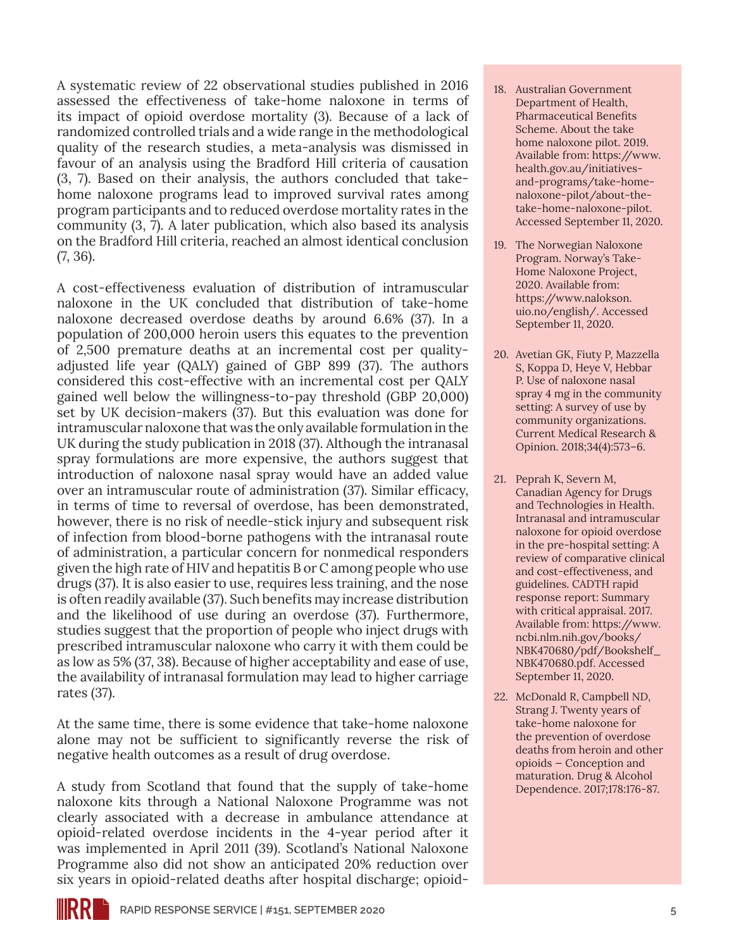A systematic review of 22 observational studies published in 2016 assessed the effectiveness of take-home naloxone in terms of its impact of opioid overdose mortality (3). Because of a lack of randomized controlled trials and a wide range in the methodological quality of the research studies, a meta-analysis was dismissed in favour of an analysis using the Bradford Hill criteria of causation (3, 7). Based on their analysis, the authors concluded that takehome naloxone programs lead to improved survival rates among program participants and to reduced overdose mortality rates in the community (3, 7). A later publication, which also based its analysis on the Bradford Hill criteria, reached an almost identical conclusion (7, 36).

A cost-effectiveness evaluation of distribution of intramuscular naloxone in the UK concluded that distribution of take-home naloxone decreased overdose deaths by around 6.6% (37). In a population of 200,000 heroin users this equates to the prevention of 2,500 premature deaths at an incremental cost per qualityadjusted life year (QALY) gained of GBP 899 (37). The authors considered this cost-effective with an incremental cost per QALY gained well below the willingness-to-pay threshold (GBP 20,000) set by UK decision-makers (37). But this evaluation was done for intramuscular naloxone that was the only available formulation in the UK during the study publication in 2018 (37). Although the intranasal spray formulations are more expensive, the authors suggest that introduction of naloxone nasal spray would have an added value over an intramuscular route of administration (37). Similar efficacy, in terms of time to reversal of overdose, has been demonstrated, however, there is no risk of needle-stick injury and subsequent risk of infection from blood-borne pathogens with the intranasal route of administration, a particular concern for nonmedical responders given the high rate of HIV and hepatitis B or C among people who use drugs (37). It is also easier to use, requires less training, and the nose is often readily available (37). Such benefits may increase distribution and the likelihood of use during an overdose (37). Furthermore, studies suggest that the proportion of people who inject drugs with prescribed intramuscular naloxone who carry it with them could be as low as 5% (37, 38). Because of higher acceptability and ease of use, the availability of intranasal formulation may lead to higher carriage rates (37).

At the same time, there is some evidence that take-home naloxone alone may not be sufficient to significantly reverse the risk of negative health outcomes as a result of drug overdose.

A study from Scotland that found that the supply of take-home naloxone kits through a National Naloxone Programme was not clearly associated with a decrease in ambulance attendance at opioid-related overdose incidents in the 4-year period after it was implemented in April 2011 (39). Scotland's National Naloxone Programme also did not show an anticipated 20% reduction over six years in opioid-related deaths after hospital discharge; opioid-

- 18. Australian Government Department of Health, Pharmaceutical Benefits Scheme. About the take home naloxone pilot. 2019. Available from: [https://www.](https://www.health.gov.au/initiatives-and-programs/take-home-naloxone-pilot/about-the-take-home-naloxone-pilot) [health.gov.au/initiatives](https://www.health.gov.au/initiatives-and-programs/take-home-naloxone-pilot/about-the-take-home-naloxone-pilot)[and-programs/take-home](https://www.health.gov.au/initiatives-and-programs/take-home-naloxone-pilot/about-the-take-home-naloxone-pilot)[naloxone-pilot/about-the](https://www.health.gov.au/initiatives-and-programs/take-home-naloxone-pilot/about-the-take-home-naloxone-pilot)[take-home-naloxone-pilot.](https://www.health.gov.au/initiatives-and-programs/take-home-naloxone-pilot/about-the-take-home-naloxone-pilot) Accessed September 11, 2020.
- 19. The Norwegian Naloxone Program. Norway's Take-Home Naloxone Project, 2020. Available from: [https://www.nalokson.](https://www.nalokson.uio.no/english/) [uio.no/english/.](https://www.nalokson.uio.no/english/) Accessed September 11, 2020.
- 20. Avetian GK, Fiuty P, Mazzella S, Koppa D, Heye V, Hebbar P. Use of naloxone nasal spray 4 mg in the community setting: A survey of use by community organizations. Current Medical Research & Opinion. 2018;34(4):573–6.
- 21. Peprah K, Severn M, Canadian Agency for Drugs and Technologies in Health. Intranasal and intramuscular naloxone for opioid overdose in the pre-hospital setting: A review of comparative clinical and cost-effectiveness, and guidelines. CADTH rapid response report: Summary with critical appraisal. 2017. Available from: [https://www.](https://www.ncbi.nlm.nih.gov/books/NBK470680/pdf/Bookshelf_NBK470680.pdf) [ncbi.nlm.nih.gov/books/](https://www.ncbi.nlm.nih.gov/books/NBK470680/pdf/Bookshelf_NBK470680.pdf) [NBK470680/pdf/Bookshelf\\_](https://www.ncbi.nlm.nih.gov/books/NBK470680/pdf/Bookshelf_NBK470680.pdf) [NBK470680.pdf.](https://www.ncbi.nlm.nih.gov/books/NBK470680/pdf/Bookshelf_NBK470680.pdf) Accessed September 11, 2020.
- 22. McDonald R, Campbell ND, Strang J. Twenty years of take-home naloxone for the prevention of overdose deaths from heroin and other opioids — Conception and maturation. Drug & Alcohol Dependence. 2017;178:176-87.

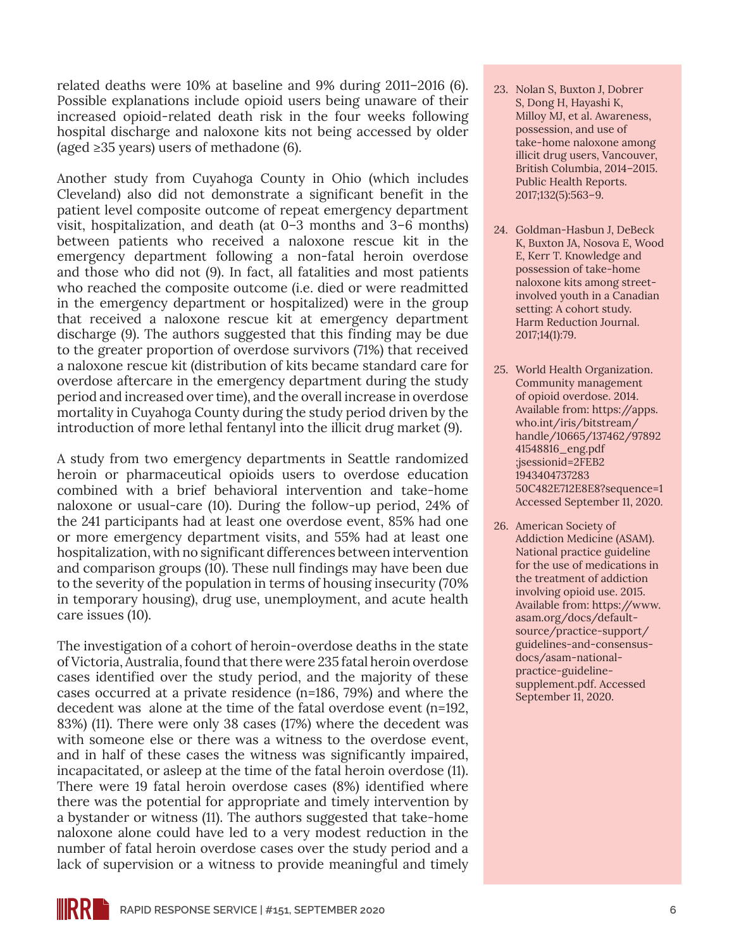related deaths were 10% at baseline and 9% during 2011–2016 (6). Possible explanations include opioid users being unaware of their increased opioid-related death risk in the four weeks following hospital discharge and naloxone kits not being accessed by older (aged ≥35 years) users of methadone  $(6)$ .

Another study from Cuyahoga County in Ohio (which includes Cleveland) also did not demonstrate a significant benefit in the patient level composite outcome of repeat emergency department visit, hospitalization, and death (at 0–3 months and 3–6 months) between patients who received a naloxone rescue kit in the emergency department following a non-fatal heroin overdose and those who did not (9). In fact, all fatalities and most patients who reached the composite outcome (i.e. died or were readmitted in the emergency department or hospitalized) were in the group that received a naloxone rescue kit at emergency department discharge (9). The authors suggested that this finding may be due to the greater proportion of overdose survivors (71%) that received a naloxone rescue kit (distribution of kits became standard care for overdose aftercare in the emergency department during the study period and increased over time), and the overall increase in overdose mortality in Cuyahoga County during the study period driven by the introduction of more lethal fentanyl into the illicit drug market (9).

A study from two emergency departments in Seattle randomized heroin or pharmaceutical opioids users to overdose education combined with a brief behavioral intervention and take-home naloxone or usual-care (10). During the follow-up period, 24% of the 241 participants had at least one overdose event, 85% had one or more emergency department visits, and 55% had at least one hospitalization, with no significant differences between intervention and comparison groups (10). These null findings may have been due to the severity of the population in terms of housing insecurity (70% in temporary housing), drug use, unemployment, and acute health care issues (10).

The investigation of a cohort of heroin-overdose deaths in the state of Victoria, Australia, found that there were 235 fatal heroin overdose cases identified over the study period, and the majority of these cases occurred at a private residence (n=186, 79%) and where the decedent was alone at the time of the fatal overdose event (n=192, 83%) (11). There were only 38 cases (17%) where the decedent was with someone else or there was a witness to the overdose event, and in half of these cases the witness was significantly impaired, incapacitated, or asleep at the time of the fatal heroin overdose (11). There were 19 fatal heroin overdose cases (8%) identified where there was the potential for appropriate and timely intervention by a bystander or witness (11). The authors suggested that take-home naloxone alone could have led to a very modest reduction in the number of fatal heroin overdose cases over the study period and a lack of supervision or a witness to provide meaningful and timely

- 23. Nolan S, Buxton J, Dobrer S, Dong H, Hayashi K, Milloy MJ, et al. Awareness, possession, and use of take-home naloxone among illicit drug users, Vancouver, British Columbia, 2014–2015. Public Health Reports. 2017;132(5):563–9.
- 24. Goldman-Hasbun J, DeBeck K, Buxton JA, Nosova E, Wood E, Kerr T. Knowledge and possession of take-home naloxone kits among streetinvolved youth in a Canadian setting: A cohort study. Harm Reduction Journal. 2017;14(1):79.
- 25. World Health Organization. Community management of opioid overdose. 2014. Available from: [https://apps.](https://apps.who.int/iris/bitstream/handle/10665/137462/97892 41548816_eng.pdf ;jsessionid=2FEB2 1943404737283 50C482E712E8E8?sequence=1) [who.int/iris/bitstream/](https://apps.who.int/iris/bitstream/handle/10665/137462/97892 41548816_eng.pdf ;jsessionid=2FEB2 1943404737283 50C482E712E8E8?sequence=1) [handle/10665/137462/97892](https://apps.who.int/iris/bitstream/handle/10665/137462/97892 41548816_eng.pdf ;jsessionid=2FEB2 1943404737283 50C482E712E8E8?sequence=1)  [41548816\\_eng.pdf](https://apps.who.int/iris/bitstream/handle/10665/137462/97892 41548816_eng.pdf ;jsessionid=2FEB2 1943404737283 50C482E712E8E8?sequence=1)  [;jsessionid=2FEB2](https://apps.who.int/iris/bitstream/handle/10665/137462/97892 41548816_eng.pdf ;jsessionid=2FEB2 1943404737283 50C482E712E8E8?sequence=1)  [1943404737283](https://apps.who.int/iris/bitstream/handle/10665/137462/97892 41548816_eng.pdf ;jsessionid=2FEB2 1943404737283 50C482E712E8E8?sequence=1)  [50C482E712E8E8?sequence=1](https://apps.who.int/iris/bitstream/handle/10665/137462/97892 41548816_eng.pdf ;jsessionid=2FEB2 1943404737283 50C482E712E8E8?sequence=1) Accessed September 11, 2020.
- 26. American Society of Addiction Medicine (ASAM). National practice guideline for the use of medications in the treatment of addiction involving opioid use. 2015. Available from: [https://www.](https://www.asam.org/docs/default-source/practice-support/guidelines-and-consensus-docs/asam-national-practice-guideline-supplement.pdf) [asam.org/docs/default](https://www.asam.org/docs/default-source/practice-support/guidelines-and-consensus-docs/asam-national-practice-guideline-supplement.pdf)[source/practice-support/](https://www.asam.org/docs/default-source/practice-support/guidelines-and-consensus-docs/asam-national-practice-guideline-supplement.pdf) [guidelines-and-consensus](https://www.asam.org/docs/default-source/practice-support/guidelines-and-consensus-docs/asam-national-practice-guideline-supplement.pdf)[docs/asam-national](https://www.asam.org/docs/default-source/practice-support/guidelines-and-consensus-docs/asam-national-practice-guideline-supplement.pdf)[practice-guideline](https://www.asam.org/docs/default-source/practice-support/guidelines-and-consensus-docs/asam-national-practice-guideline-supplement.pdf)[supplement.pdf.](https://www.asam.org/docs/default-source/practice-support/guidelines-and-consensus-docs/asam-national-practice-guideline-supplement.pdf) Accessed September 11, 2020.

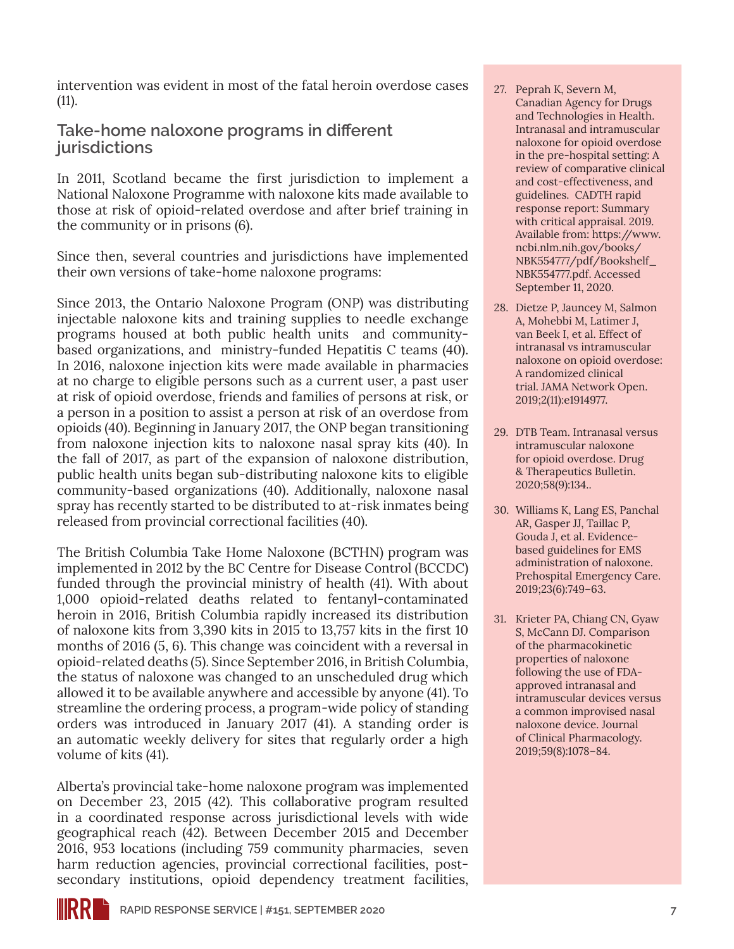intervention was evident in most of the fatal heroin overdose cases (11).

### **Take-home naloxone programs in different jurisdictions**

In 2011, Scotland became the first jurisdiction to implement a National Naloxone Programme with naloxone kits made available to those at risk of opioid-related overdose and after brief training in the community or in prisons (6).

Since then, several countries and jurisdictions have implemented their own versions of take-home naloxone programs:

Since 2013, the Ontario Naloxone Program (ONP) was distributing injectable naloxone kits and training supplies to needle exchange programs housed at both public health units and communitybased organizations, and ministry-funded Hepatitis C teams (40). In 2016, naloxone injection kits were made available in pharmacies at no charge to eligible persons such as a current user, a past user at risk of opioid overdose, friends and families of persons at risk, or a person in a position to assist a person at risk of an overdose from opioids (40). Beginning in January 2017, the ONP began transitioning from naloxone injection kits to naloxone nasal spray kits (40). In the fall of 2017, as part of the expansion of naloxone distribution, public health units began sub-distributing naloxone kits to eligible community-based organizations (40). Additionally, naloxone nasal spray has recently started to be distributed to at-risk inmates being released from provincial correctional facilities (40).

The British Columbia Take Home Naloxone (BCTHN) program was implemented in 2012 by the BC Centre for Disease Control (BCCDC) funded through the provincial ministry of health (41). With about 1,000 opioid-related deaths related to fentanyl-contaminated heroin in 2016, British Columbia rapidly increased its distribution of naloxone kits from 3,390 kits in 2015 to 13,757 kits in the first 10 months of 2016 (5, 6). This change was coincident with a reversal in opioid-related deaths (5). Since September 2016, in British Columbia, the status of naloxone was changed to an unscheduled drug which allowed it to be available anywhere and accessible by anyone (41). To streamline the ordering process, a program-wide policy of standing orders was introduced in January 2017 (41). A standing order is an automatic weekly delivery for sites that regularly order a high volume of kits (41).

Alberta's provincial take-home naloxone program was implemented on December 23, 2015 (42). This collaborative program resulted in a coordinated response across jurisdictional levels with wide geographical reach (42). Between December 2015 and December 2016, 953 locations (including 759 community pharmacies, seven harm reduction agencies, provincial correctional facilities, postsecondary institutions, opioid dependency treatment facilities,

- 27. Peprah K, Severn M, Canadian Agency for Drugs and Technologies in Health. Intranasal and intramuscular naloxone for opioid overdose in the pre-hospital setting: A review of comparative clinical and cost-effectiveness, and guidelines. CADTH rapid response report: Summary with critical appraisal. 2019. Available from: [https://www.](https://www.ncbi.nlm.nih.gov/books/NBK554777/pdf/Bookshelf_NBK554777.pdf) [ncbi.nlm.nih.gov/books/](https://www.ncbi.nlm.nih.gov/books/NBK554777/pdf/Bookshelf_NBK554777.pdf) [NBK554777/pdf/Bookshelf\\_](https://www.ncbi.nlm.nih.gov/books/NBK554777/pdf/Bookshelf_NBK554777.pdf) [NBK554777.pdf](https://www.ncbi.nlm.nih.gov/books/NBK554777/pdf/Bookshelf_NBK554777.pdf). Accessed September 11, 2020.
- 28. Dietze P, Jauncey M, Salmon A, Mohebbi M, Latimer J, van Beek I, et al. Effect of intranasal vs intramuscular naloxone on opioid overdose: A randomized clinical trial. JAMA Network Open. 2019;2(11):e1914977.
- 29. DTB Team. Intranasal versus intramuscular naloxone for opioid overdose. Drug & Therapeutics Bulletin. 2020;58(9):134..
- 30. Williams K, Lang ES, Panchal AR, Gasper JJ, Taillac P, Gouda J, et al. Evidencebased guidelines for EMS administration of naloxone. Prehospital Emergency Care. 2019;23(6):749–63.
- 31. Krieter PA, Chiang CN, Gyaw S, McCann DJ. Comparison of the pharmacokinetic properties of naloxone following the use of FDAapproved intranasal and intramuscular devices versus a common improvised nasal naloxone device. Journal of Clinical Pharmacology. 2019;59(8):1078–84.

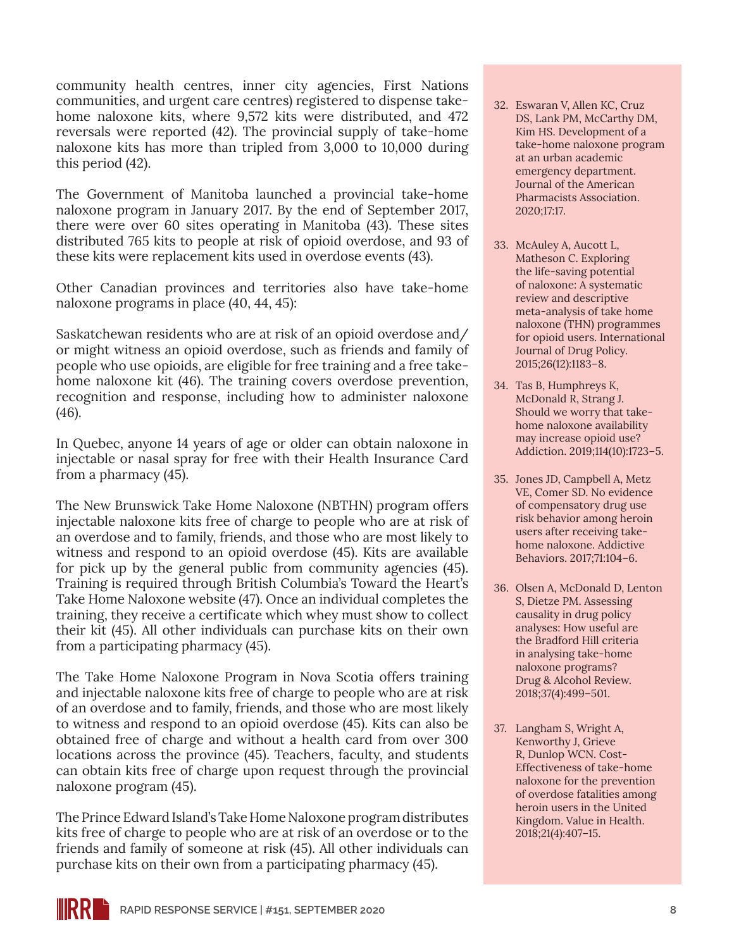community health centres, inner city agencies, First Nations communities, and urgent care centres) registered to dispense takehome naloxone kits, where 9,572 kits were distributed, and 472 reversals were reported (42). The provincial supply of take-home naloxone kits has more than tripled from 3,000 to 10,000 during this period (42).

The Government of Manitoba launched a provincial take-home naloxone program in January 2017. By the end of September 2017, there were over 60 sites operating in Manitoba (43). These sites distributed 765 kits to people at risk of opioid overdose, and 93 of these kits were replacement kits used in overdose events (43).

Other Canadian provinces and territories also have take-home naloxone programs in place (40, 44, 45):

Saskatchewan residents who are at risk of an opioid overdose and/ or might witness an opioid overdose, such as friends and family of people who use opioids, are eligible for free training and a free takehome naloxone kit (46). The training covers overdose prevention, recognition and response, including how to administer naloxone (46).

In Quebec, anyone 14 years of age or older can obtain naloxone in injectable or nasal spray for free with their Health Insurance Card from a pharmacy (45).

The New Brunswick Take Home Naloxone (NBTHN) program offers injectable naloxone kits free of charge to people who are at risk of an overdose and to family, friends, and those who are most likely to witness and respond to an opioid overdose (45). Kits are available for pick up by the general public from community agencies (45). Training is required through British Columbia's Toward the Heart's Take Home Naloxone website (47). Once an individual completes the training, they receive a certificate which whey must show to collect their kit (45). All other individuals can purchase kits on their own from a participating pharmacy (45).

The Take Home Naloxone Program in Nova Scotia offers training and injectable naloxone kits free of charge to people who are at risk of an overdose and to family, friends, and those who are most likely to witness and respond to an opioid overdose (45). Kits can also be obtained free of charge and without a health card from over 300 locations across the province (45). Teachers, faculty, and students can obtain kits free of charge upon request through the provincial naloxone program (45).

The Prince Edward Island's Take Home Naloxone program distributes kits free of charge to people who are at risk of an overdose or to the friends and family of someone at risk (45). All other individuals can purchase kits on their own from a participating pharmacy (45).

- 32. Eswaran V, Allen KC, Cruz DS, Lank PM, McCarthy DM, Kim HS. Development of a take-home naloxone program at an urban academic emergency department. Journal of the American Pharmacists Association. 2020;17:17.
- 33. McAuley A, Aucott L, Matheson C. Exploring the life-saving potential of naloxone: A systematic review and descriptive meta-analysis of take home naloxone (THN) programmes for opioid users. International Journal of Drug Policy. 2015;26(12):1183–8.
- 34. Tas B, Humphreys K, McDonald R, Strang J. Should we worry that takehome naloxone availability may increase opioid use? Addiction. 2019;114(10):1723–5.
- 35. Jones JD, Campbell A, Metz VE, Comer SD. No evidence of compensatory drug use risk behavior among heroin users after receiving takehome naloxone. Addictive Behaviors. 2017;71:104–6.
- 36. Olsen A, McDonald D, Lenton S, Dietze PM. Assessing causality in drug policy analyses: How useful are the Bradford Hill criteria in analysing take-home naloxone programs? Drug & Alcohol Review. 2018;37(4):499–501.
- 37. Langham S, Wright A, Kenworthy J, Grieve R, Dunlop WCN. Cost-Effectiveness of take-home naloxone for the prevention of overdose fatalities among heroin users in the United Kingdom. Value in Health. 2018;21(4):407–15.

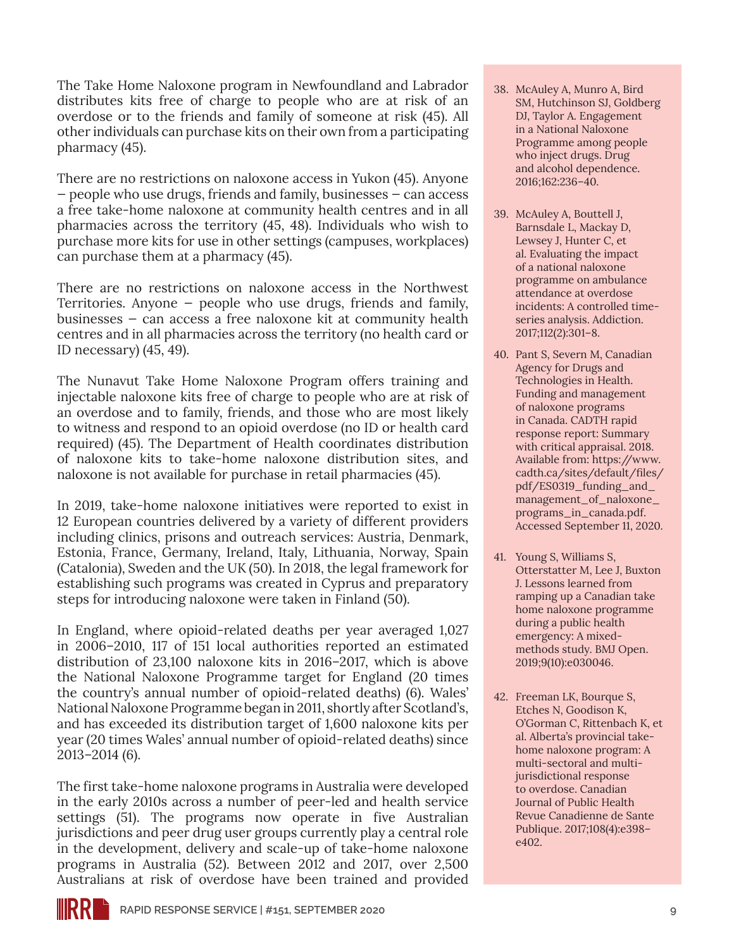The Take Home Naloxone program in Newfoundland and Labrador distributes kits free of charge to people who are at risk of an overdose or to the friends and family of someone at risk (45). All other individuals can purchase kits on their own from a participating pharmacy (45).

There are no restrictions on naloxone access in Yukon (45). Anyone — people who use drugs, friends and family, businesses — can access a free take-home naloxone at community health centres and in all pharmacies across the territory (45, 48). Individuals who wish to purchase more kits for use in other settings (campuses, workplaces) can purchase them at a pharmacy (45).

There are no restrictions on naloxone access in the Northwest Territories. Anyone — people who use drugs, friends and family, businesses — can access a free naloxone kit at community health centres and in all pharmacies across the territory (no health card or ID necessary) (45, 49).

The Nunavut Take Home Naloxone Program offers training and injectable naloxone kits free of charge to people who are at risk of an overdose and to family, friends, and those who are most likely to witness and respond to an opioid overdose (no ID or health card required) (45). The Department of Health coordinates distribution of naloxone kits to take-home naloxone distribution sites, and naloxone is not available for purchase in retail pharmacies (45).

In 2019, take-home naloxone initiatives were reported to exist in 12 European countries delivered by a variety of different providers including clinics, prisons and outreach services: Austria, Denmark, Estonia, France, Germany, Ireland, Italy, Lithuania, Norway, Spain (Catalonia), Sweden and the UK (50). In 2018, the legal framework for establishing such programs was created in Cyprus and preparatory steps for introducing naloxone were taken in Finland (50).

In England, where opioid-related deaths per year averaged 1,027 in 2006–2010, 117 of 151 local authorities reported an estimated distribution of 23,100 naloxone kits in 2016–2017, which is above the National Naloxone Programme target for England (20 times the country's annual number of opioid-related deaths) (6). Wales' National Naloxone Programme began in 2011, shortly after Scotland's, and has exceeded its distribution target of 1,600 naloxone kits per year (20 times Wales' annual number of opioid-related deaths) since 2013–2014 (6).

The first take-home naloxone programs in Australia were developed in the early 2010s across a number of peer-led and health service settings (51). The programs now operate in five Australian jurisdictions and peer drug user groups currently play a central role in the development, delivery and scale-up of take-home naloxone programs in Australia (52). Between 2012 and 2017, over 2,500 Australians at risk of overdose have been trained and provided

- 38. McAuley A, Munro A, Bird SM, Hutchinson SJ, Goldberg DJ, Taylor A. Engagement in a National Naloxone Programme among people who inject drugs. Drug and alcohol dependence. 2016;162:236–40.
- 39. McAuley A, Bouttell J, Barnsdale L, Mackay D, Lewsey J, Hunter C, et al. Evaluating the impact of a national naloxone programme on ambulance attendance at overdose incidents: A controlled timeseries analysis. Addiction. 2017;112(2):301–8.
- 40. Pant S, Severn M, Canadian Agency for Drugs and Technologies in Health. Funding and management of naloxone programs in Canada. CADTH rapid response report: Summary with critical appraisal. 2018. Available from: [https://www.](https://www.cadth.ca/sites/default/files/pdf/ES0319_funding_and_management_of_naloxone_programs_in_canada.pdf) [cadth.ca/sites/default/files/](https://www.cadth.ca/sites/default/files/pdf/ES0319_funding_and_management_of_naloxone_programs_in_canada.pdf) [pdf/ES0319\\_funding\\_and\\_](https://www.cadth.ca/sites/default/files/pdf/ES0319_funding_and_management_of_naloxone_programs_in_canada.pdf) [management\\_of\\_naloxone\\_](https://www.cadth.ca/sites/default/files/pdf/ES0319_funding_and_management_of_naloxone_programs_in_canada.pdf) [programs\\_in\\_canada.pdf](https://www.cadth.ca/sites/default/files/pdf/ES0319_funding_and_management_of_naloxone_programs_in_canada.pdf). Accessed September 11, 2020.
- 41. Young S, Williams S, Otterstatter M, Lee J, Buxton J. Lessons learned from ramping up a Canadian take home naloxone programme during a public health emergency: A mixedmethods study. BMJ Open. 2019;9(10):e030046.
- 42. Freeman LK, Bourque S, Etches N, Goodison K, O'Gorman C, Rittenbach K, et al. Alberta's provincial takehome naloxone program: A multi-sectoral and multijurisdictional response to overdose. Canadian Journal of Public Health Revue Canadienne de Sante Publique. 2017;108(4):e398– e402.

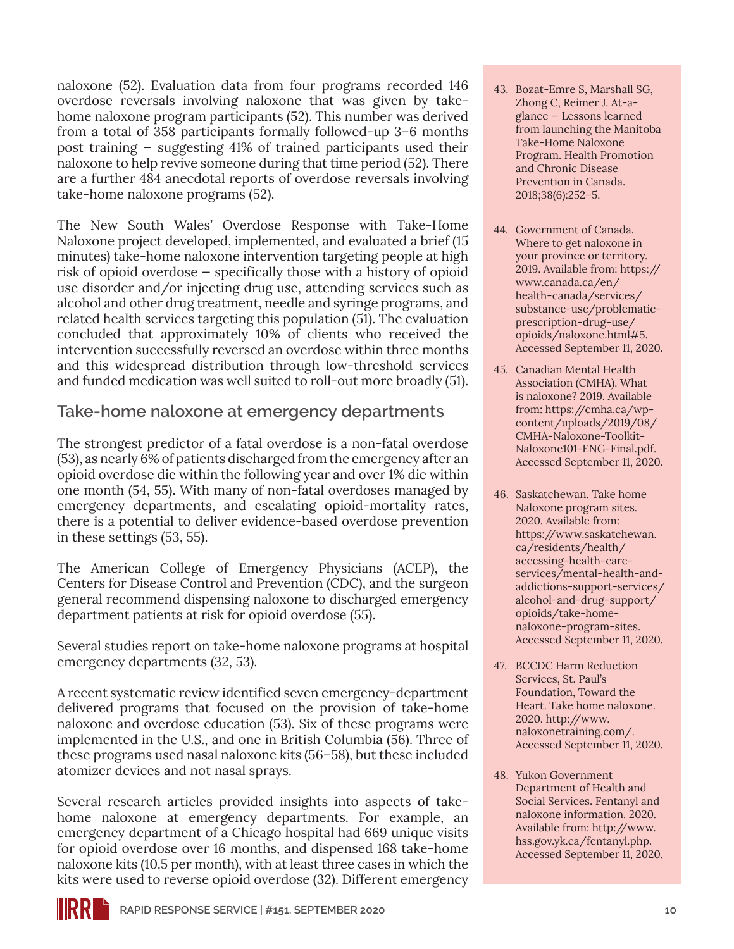naloxone (52). Evaluation data from four programs recorded 146 overdose reversals involving naloxone that was given by takehome naloxone program participants (52). This number was derived from a total of 358 participants formally followed-up 3–6 months post training — suggesting 41% of trained participants used their naloxone to help revive someone during that time period (52). There are a further 484 anecdotal reports of overdose reversals involving take-home naloxone programs (52).

The New South Wales' Overdose Response with Take-Home Naloxone project developed, implemented, and evaluated a brief (15 minutes) take-home naloxone intervention targeting people at high risk of opioid overdose — specifically those with a history of opioid use disorder and/or injecting drug use, attending services such as alcohol and other drug treatment, needle and syringe programs, and related health services targeting this population (51). The evaluation concluded that approximately 10% of clients who received the intervention successfully reversed an overdose within three months and this widespread distribution through low-threshold services and funded medication was well suited to roll-out more broadly (51).

### **Take-home naloxone at emergency departments**

The strongest predictor of a fatal overdose is a non-fatal overdose (53), as nearly 6% of patients discharged from the emergency after an opioid overdose die within the following year and over 1% die within one month (54, 55). With many of non-fatal overdoses managed by emergency departments, and escalating opioid-mortality rates, there is a potential to deliver evidence-based overdose prevention in these settings (53, 55).

The American College of Emergency Physicians (ACEP), the Centers for Disease Control and Prevention (CDC), and the surgeon general recommend dispensing naloxone to discharged emergency department patients at risk for opioid overdose (55).

Several studies report on take-home naloxone programs at hospital emergency departments (32, 53).

A recent systematic review identified seven emergency-department delivered programs that focused on the provision of take-home naloxone and overdose education (53). Six of these programs were implemented in the U.S., and one in British Columbia (56). Three of these programs used nasal naloxone kits (56–58), but these included atomizer devices and not nasal sprays.

Several research articles provided insights into aspects of takehome naloxone at emergency departments. For example, an emergency department of a Chicago hospital had 669 unique visits for opioid overdose over 16 months, and dispensed 168 take-home naloxone kits (10.5 per month), with at least three cases in which the kits were used to reverse opioid overdose (32). Different emergency

- 43. Bozat-Emre S, Marshall SG, Zhong C, Reimer J. At-aglance — Lessons learned from launching the Manitoba Take-Home Naloxone Program. Health Promotion and Chronic Disease Prevention in Canada. 2018;38(6):252–5.
- 44. Government of Canada. Where to get naloxone in your province or territory. 2019. Available from: [https://](https://www.canada.ca/en/health-canada/services/substance-use/problematic-prescription-drug-use/opioids/naloxone.html#5) [www.canada.ca/en/](https://www.canada.ca/en/health-canada/services/substance-use/problematic-prescription-drug-use/opioids/naloxone.html#5) [health-canada/services/](https://www.canada.ca/en/health-canada/services/substance-use/problematic-prescription-drug-use/opioids/naloxone.html#5) [substance-use/problematic](https://www.canada.ca/en/health-canada/services/substance-use/problematic-prescription-drug-use/opioids/naloxone.html#5)[prescription-drug-use/](https://www.canada.ca/en/health-canada/services/substance-use/problematic-prescription-drug-use/opioids/naloxone.html#5) [opioids/naloxone.html#5](https://www.canada.ca/en/health-canada/services/substance-use/problematic-prescription-drug-use/opioids/naloxone.html#5). Accessed September 11, 2020.
- 45. Canadian Mental Health Association (CMHA). What is naloxone? 2019. Available from: [https://cmha.ca/wp](https://cmha.ca/wp-content/uploads/2019/08/CMHA-Naloxone-Toolkit-Naloxone101-ENG-Final.pdf)[content/uploads/2019/08/](https://cmha.ca/wp-content/uploads/2019/08/CMHA-Naloxone-Toolkit-Naloxone101-ENG-Final.pdf) [CMHA-Naloxone-Toolkit-](https://cmha.ca/wp-content/uploads/2019/08/CMHA-Naloxone-Toolkit-Naloxone101-ENG-Final.pdf)[Naloxone101-ENG-Final.pdf.](https://cmha.ca/wp-content/uploads/2019/08/CMHA-Naloxone-Toolkit-Naloxone101-ENG-Final.pdf) Accessed September 11, 2020.
- 46. Saskatchewan. Take home Naloxone program sites. 2020. Available from: [https://www.saskatchewan.](https://www.saskatchewan.ca/residents/health/accessing-health-care-services/mental-health-and-addictions-support-services/alcohol-and-drug-support/opioids/take-home-naloxone-program-sites) [ca/residents/health/](https://www.saskatchewan.ca/residents/health/accessing-health-care-services/mental-health-and-addictions-support-services/alcohol-and-drug-support/opioids/take-home-naloxone-program-sites) [accessing-health-care](https://www.saskatchewan.ca/residents/health/accessing-health-care-services/mental-health-and-addictions-support-services/alcohol-and-drug-support/opioids/take-home-naloxone-program-sites)[services/mental-health-and](https://www.saskatchewan.ca/residents/health/accessing-health-care-services/mental-health-and-addictions-support-services/alcohol-and-drug-support/opioids/take-home-naloxone-program-sites)[addictions-support-services/](https://www.saskatchewan.ca/residents/health/accessing-health-care-services/mental-health-and-addictions-support-services/alcohol-and-drug-support/opioids/take-home-naloxone-program-sites) [alcohol-and-drug-support/](https://www.saskatchewan.ca/residents/health/accessing-health-care-services/mental-health-and-addictions-support-services/alcohol-and-drug-support/opioids/take-home-naloxone-program-sites) [opioids/take-home](https://www.saskatchewan.ca/residents/health/accessing-health-care-services/mental-health-and-addictions-support-services/alcohol-and-drug-support/opioids/take-home-naloxone-program-sites)[naloxone-program-sites](https://www.saskatchewan.ca/residents/health/accessing-health-care-services/mental-health-and-addictions-support-services/alcohol-and-drug-support/opioids/take-home-naloxone-program-sites). Accessed September 11, 2020.
- 47. BCCDC Harm Reduction Services, St. Paul's Foundation, Toward the Heart. Take home naloxone. 2020. [http://www.](http://www.naloxonetraining.com/) [naloxonetraining.com/](http://www.naloxonetraining.com/). Accessed September 11, 2020.
- 48. Yukon Government Department of Health and Social Services. Fentanyl and naloxone information. 2020. Available from: [http://www.](http://www.hss.gov.yk.ca/fentanyl.php) [hss.gov.yk.ca/fentanyl.php.](http://www.hss.gov.yk.ca/fentanyl.php) Accessed September 11, 2020.

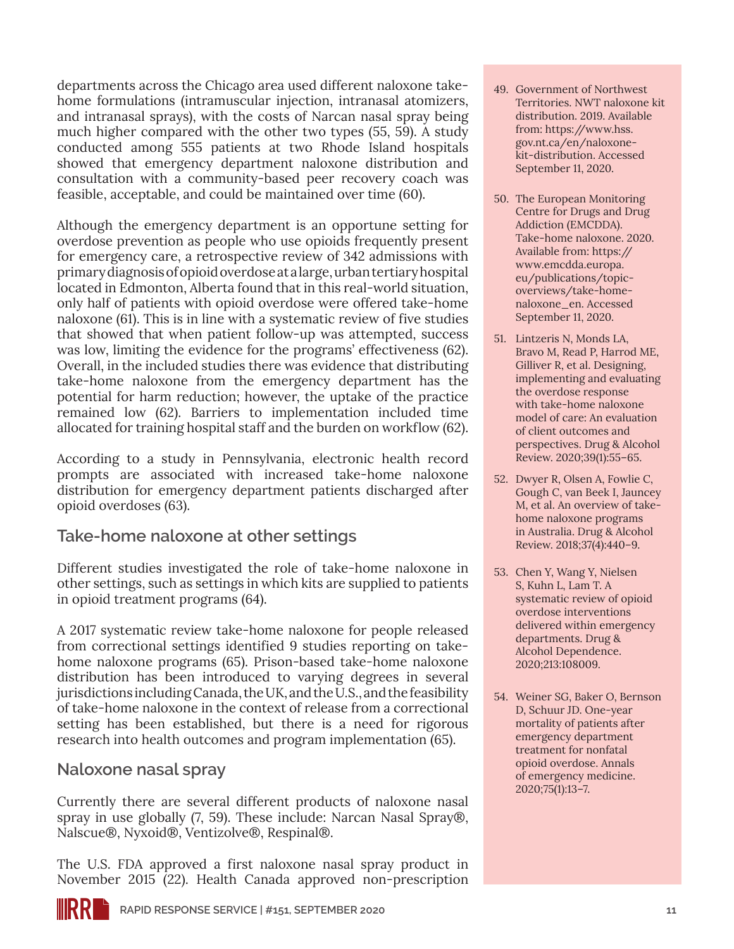departments across the Chicago area used different naloxone takehome formulations (intramuscular injection, intranasal atomizers, and intranasal sprays), with the costs of Narcan nasal spray being much higher compared with the other two types (55, 59). A study conducted among 555 patients at two Rhode Island hospitals showed that emergency department naloxone distribution and consultation with a community-based peer recovery coach was feasible, acceptable, and could be maintained over time (60).

Although the emergency department is an opportune setting for overdose prevention as people who use opioids frequently present for emergency care, a retrospective review of 342 admissions with primary diagnosis of opioid overdose at a large, urban tertiary hospital located in Edmonton, Alberta found that in this real-world situation, only half of patients with opioid overdose were offered take-home naloxone (61). This is in line with a systematic review of five studies that showed that when patient follow-up was attempted, success was low, limiting the evidence for the programs' effectiveness (62). Overall, in the included studies there was evidence that distributing take-home naloxone from the emergency department has the potential for harm reduction; however, the uptake of the practice remained low (62). Barriers to implementation included time allocated for training hospital staff and the burden on workflow (62).

According to a study in Pennsylvania, electronic health record prompts are associated with increased take-home naloxone distribution for emergency department patients discharged after opioid overdoses (63).

### **Take-home naloxone at other settings**

Different studies investigated the role of take-home naloxone in other settings, such as settings in which kits are supplied to patients in opioid treatment programs (64).

A 2017 systematic review take-home naloxone for people released from correctional settings identified 9 studies reporting on takehome naloxone programs (65). Prison-based take-home naloxone distribution has been introduced to varying degrees in several jurisdictions including Canada, the UK, and the U.S., and the feasibility of take-home naloxone in the context of release from a correctional setting has been established, but there is a need for rigorous research into health outcomes and program implementation (65).

#### **Naloxone nasal spray**

Currently there are several different products of naloxone nasal spray in use globally (7, 59). These include: Narcan Nasal Spray®, Nalscue®, Nyxoid®, Ventizolve®, Respinal®.

The U.S. FDA approved a first naloxone nasal spray product in November 2015 (22). Health Canada approved non-prescription

- 49. Government of Northwest Territories. NWT naloxone kit distribution. 2019. Available from: [https://www.hss.](https://www.hss.gov.nt.ca/en/naloxone-kit-distribution) [gov.nt.ca/en/naloxone](https://www.hss.gov.nt.ca/en/naloxone-kit-distribution)[kit-distribution.](https://www.hss.gov.nt.ca/en/naloxone-kit-distribution) Accessed September 11, 2020.
- 50. The European Monitoring Centre for Drugs and Drug Addiction (EMCDDA). Take-home naloxone. 2020. Available from: [https://](https://www.emcdda.europa.eu/publications/topic-overviews/take-home-naloxone_en) [www.emcdda.europa.](https://www.emcdda.europa.eu/publications/topic-overviews/take-home-naloxone_en) [eu/publications/topic](https://www.emcdda.europa.eu/publications/topic-overviews/take-home-naloxone_en)[overviews/take-home](https://www.emcdda.europa.eu/publications/topic-overviews/take-home-naloxone_en)[naloxone\\_en](https://www.emcdda.europa.eu/publications/topic-overviews/take-home-naloxone_en). Accessed September 11, 2020.
- 51. Lintzeris N, Monds LA, Bravo M, Read P, Harrod ME, Gilliver R, et al. Designing, implementing and evaluating the overdose response with take-home naloxone model of care: An evaluation of client outcomes and perspectives. Drug & Alcohol Review. 2020;39(1):55–65.
- 52. Dwyer R, Olsen A, Fowlie C, Gough C, van Beek I, Jauncey M, et al. An overview of takehome naloxone programs in Australia. Drug & Alcohol Review. 2018;37(4):440–9.
- 53. Chen Y, Wang Y, Nielsen S, Kuhn L, Lam T. A systematic review of opioid overdose interventions delivered within emergency departments. Drug & Alcohol Dependence. 2020;213:108009.
- 54. Weiner SG, Baker O, Bernson D, Schuur JD. One-year mortality of patients after emergency department treatment for nonfatal opioid overdose. Annals of emergency medicine. 2020;75(1):13–7.

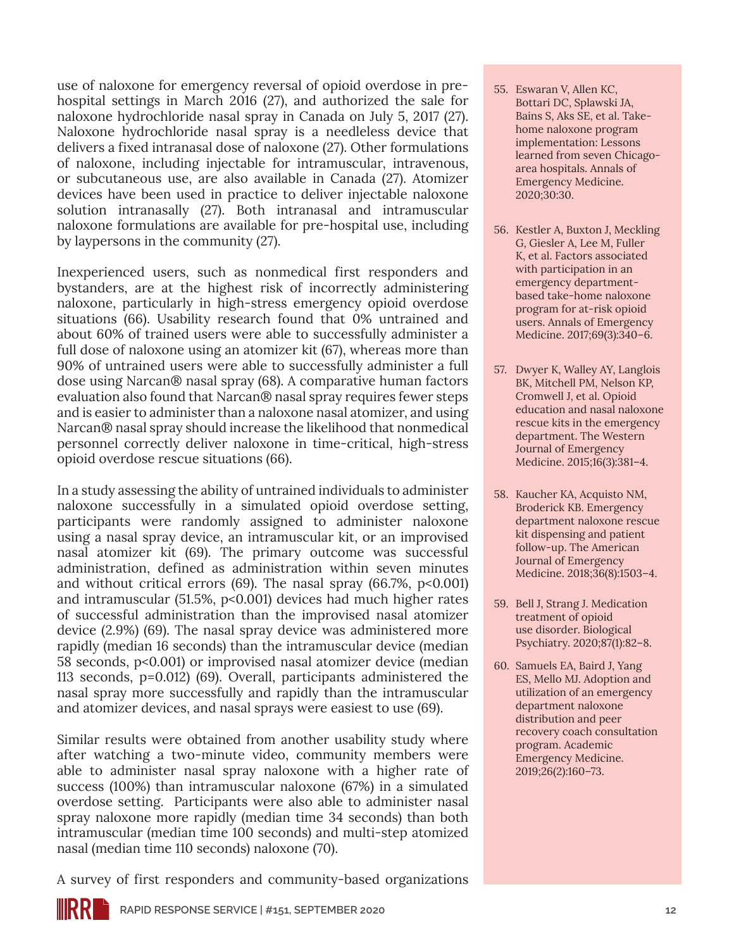use of naloxone for emergency reversal of opioid overdose in prehospital settings in March 2016 (27), and authorized the sale for naloxone hydrochloride nasal spray in Canada on July 5, 2017 (27). Naloxone hydrochloride nasal spray is a needleless device that delivers a fixed intranasal dose of naloxone (27). Other formulations of naloxone, including injectable for intramuscular, intravenous, or subcutaneous use, are also available in Canada (27). Atomizer devices have been used in practice to deliver injectable naloxone solution intranasally (27). Both intranasal and intramuscular naloxone formulations are available for pre-hospital use, including by laypersons in the community (27).

Inexperienced users, such as nonmedical first responders and bystanders, are at the highest risk of incorrectly administering naloxone, particularly in high-stress emergency opioid overdose situations (66). Usability research found that 0% untrained and about 60% of trained users were able to successfully administer a full dose of naloxone using an atomizer kit (67), whereas more than 90% of untrained users were able to successfully administer a full dose using Narcan® nasal spray (68). A comparative human factors evaluation also found that Narcan® nasal spray requires fewer steps and is easier to administer than a naloxone nasal atomizer, and using Narcan® nasal spray should increase the likelihood that nonmedical personnel correctly deliver naloxone in time-critical, high-stress opioid overdose rescue situations (66).

In a study assessing the ability of untrained individuals to administer naloxone successfully in a simulated opioid overdose setting, participants were randomly assigned to administer naloxone using a nasal spray device, an intramuscular kit, or an improvised nasal atomizer kit (69). The primary outcome was successful administration, defined as administration within seven minutes and without critical errors  $(69)$ . The nasal spray  $(66.7\%, p<0.001)$ and intramuscular (51.5%, p<0.001) devices had much higher rates of successful administration than the improvised nasal atomizer device (2.9%) (69). The nasal spray device was administered more rapidly (median 16 seconds) than the intramuscular device (median 58 seconds, p<0.001) or improvised nasal atomizer device (median 113 seconds, p=0.012) (69). Overall, participants administered the nasal spray more successfully and rapidly than the intramuscular and atomizer devices, and nasal sprays were easiest to use (69).

Similar results were obtained from another usability study where after watching a two-minute video, community members were able to administer nasal spray naloxone with a higher rate of success (100%) than intramuscular naloxone (67%) in a simulated overdose setting. Participants were also able to administer nasal spray naloxone more rapidly (median time 34 seconds) than both intramuscular (median time 100 seconds) and multi-step atomized nasal (median time 110 seconds) naloxone (70).

- 55. Eswaran V, Allen KC, Bottari DC, Splawski JA, Bains S, Aks SE, et al. Takehome naloxone program implementation: Lessons learned from seven Chicagoarea hospitals. Annals of Emergency Medicine. 2020;30:30.
- 56. Kestler A, Buxton J, Meckling G, Giesler A, Lee M, Fuller K, et al. Factors associated with participation in an emergency departmentbased take-home naloxone program for at-risk opioid users. Annals of Emergency Medicine. 2017;69(3):340–6.
- 57. Dwyer K, Walley AY, Langlois BK, Mitchell PM, Nelson KP, Cromwell J, et al. Opioid education and nasal naloxone rescue kits in the emergency department. The Western Journal of Emergency Medicine. 2015;16(3):381–4.
- 58. Kaucher KA, Acquisto NM, Broderick KB. Emergency department naloxone rescue kit dispensing and patient follow-up. The American Journal of Emergency Medicine. 2018;36(8):1503–4.
- 59. Bell J, Strang J. Medication treatment of opioid use disorder. Biological Psychiatry. 2020;87(1):82–8.
- 60. Samuels EA, Baird J, Yang ES, Mello MJ. Adoption and utilization of an emergency department naloxone distribution and peer recovery coach consultation program. Academic Emergency Medicine. 2019;26(2):160–73.

A survey of first responders and community-based organizations

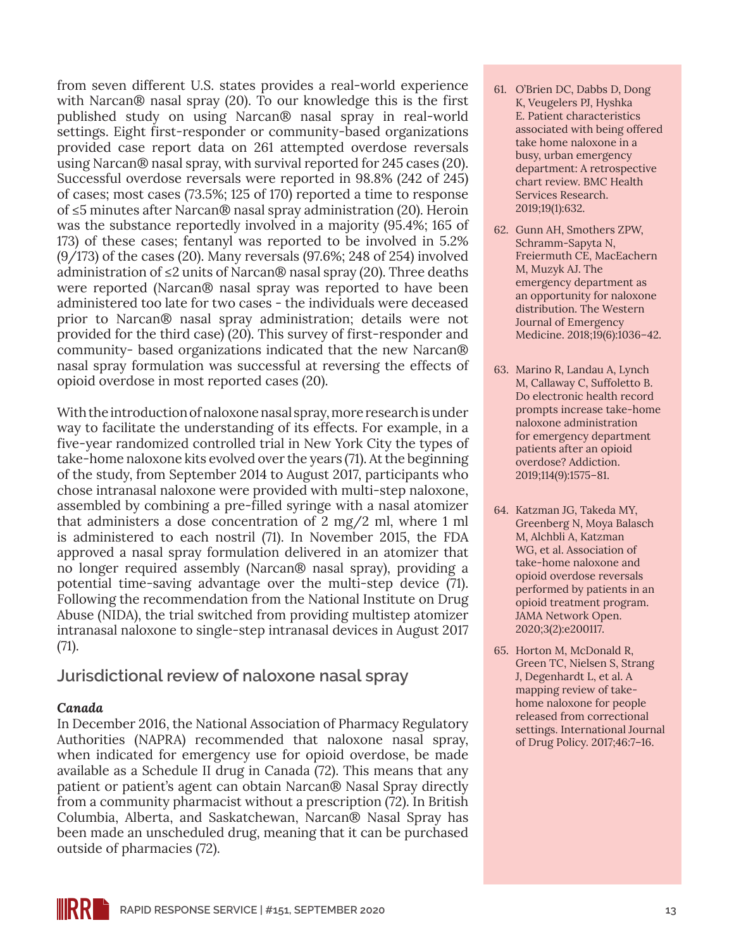from seven different U.S. states provides a real-world experience with Narcan® nasal spray (20). To our knowledge this is the first published study on using Narcan® nasal spray in real-world settings. Eight first-responder or community-based organizations provided case report data on 261 attempted overdose reversals using Narcan® nasal spray, with survival reported for 245 cases (20). Successful overdose reversals were reported in 98.8% (242 of 245) of cases; most cases (73.5%; 125 of 170) reported a time to response of ≤5 minutes after Narcan® nasal spray administration (20). Heroin was the substance reportedly involved in a majority (95.4%; 165 of 173) of these cases; fentanyl was reported to be involved in 5.2% (9/173) of the cases (20). Many reversals (97.6%; 248 of 254) involved administration of ≤2 units of Narcan® nasal spray (20). Three deaths were reported (Narcan® nasal spray was reported to have been administered too late for two cases - the individuals were deceased prior to Narcan® nasal spray administration; details were not provided for the third case) (20). This survey of first-responder and community- based organizations indicated that the new Narcan® nasal spray formulation was successful at reversing the effects of opioid overdose in most reported cases (20).

With the introduction of naloxone nasal spray, more research is under way to facilitate the understanding of its effects. For example, in a five-year randomized controlled trial in New York City the types of take-home naloxone kits evolved over the years (71). At the beginning of the study, from September 2014 to August 2017, participants who chose intranasal naloxone were provided with multi-step naloxone, assembled by combining a pre-filled syringe with a nasal atomizer that administers a dose concentration of 2 mg/2 ml, where 1 ml is administered to each nostril (71). In November 2015, the FDA approved a nasal spray formulation delivered in an atomizer that no longer required assembly (Narcan® nasal spray), providing a potential time-saving advantage over the multi-step device (71). Following the recommendation from the National Institute on Drug Abuse (NIDA), the trial switched from providing multistep atomizer intranasal naloxone to single-step intranasal devices in August 2017 (71).

**Jurisdictional review of naloxone nasal spray**

#### *Canada*

In December 2016, the National Association of Pharmacy Regulatory Authorities (NAPRA) recommended that naloxone nasal spray, when indicated for emergency use for opioid overdose, be made available as a Schedule II drug in Canada (72). This means that any patient or patient's agent can obtain Narcan® Nasal Spray directly from a community pharmacist without a prescription (72). In British Columbia, Alberta, and Saskatchewan, Narcan® Nasal Spray has been made an unscheduled drug, meaning that it can be purchased outside of pharmacies (72).

- 61. O'Brien DC, Dabbs D, Dong K, Veugelers PJ, Hyshka E. Patient characteristics associated with being offered take home naloxone in a busy, urban emergency department: A retrospective chart review. BMC Health Services Research. 2019;19(1):632.
- 62. Gunn AH, Smothers ZPW, Schramm-Sapyta N, Freiermuth CE, MacEachern M, Muzyk AJ. The emergency department as an opportunity for naloxone distribution. The Western Journal of Emergency Medicine. 2018;19(6):1036–42.
- 63. Marino R, Landau A, Lynch M, Callaway C, Suffoletto B. Do electronic health record prompts increase take-home naloxone administration for emergency department patients after an opioid overdose? Addiction. 2019;114(9):1575–81.
- 64. Katzman JG, Takeda MY, Greenberg N, Moya Balasch M, Alchbli A, Katzman WG, et al. Association of take-home naloxone and opioid overdose reversals performed by patients in an opioid treatment program. JAMA Network Open. 2020;3(2):e200117.
- 65. Horton M, McDonald R, Green TC, Nielsen S, Strang J, Degenhardt L, et al. A mapping review of takehome naloxone for people released from correctional settings. International Journal of Drug Policy. 2017;46:7–16.

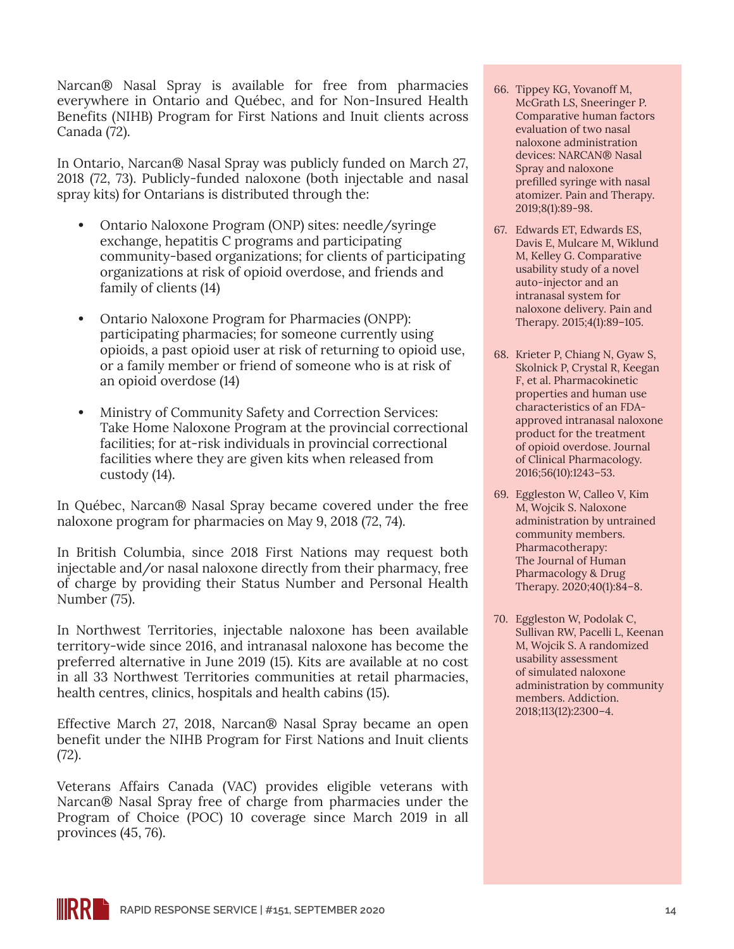Narcan® Nasal Spray is available for free from pharmacies everywhere in Ontario and Québec, and for Non-Insured Health Benefits (NIHB) Program for First Nations and Inuit clients across Canada (72).

In Ontario, Narcan® Nasal Spray was publicly funded on March 27, 2018 (72, 73). Publicly-funded naloxone (both injectable and nasal spray kits) for Ontarians is distributed through the:

- **•** Ontario Naloxone Program (ONP) sites: needle/syringe exchange, hepatitis C programs and participating community-based organizations; for clients of participating organizations at risk of opioid overdose, and friends and family of clients (14)
- **•** Ontario Naloxone Program for Pharmacies (ONPP): participating pharmacies; for someone currently using opioids, a past opioid user at risk of returning to opioid use, or a family member or friend of someone who is at risk of an opioid overdose (14)
- **•** Ministry of Community Safety and Correction Services: Take Home Naloxone Program at the provincial correctional facilities; for at-risk individuals in provincial correctional facilities where they are given kits when released from custody (14).

In Québec, Narcan® Nasal Spray became covered under the free naloxone program for pharmacies on May 9, 2018 (72, 74).

In British Columbia, since 2018 First Nations may request both injectable and/or nasal naloxone directly from their pharmacy, free of charge by providing their Status Number and Personal Health Number (75).

In Northwest Territories, injectable naloxone has been available territory-wide since 2016, and intranasal naloxone has become the preferred alternative in June 2019 (15). Kits are available at no cost in all 33 Northwest Territories communities at retail pharmacies, health centres, clinics, hospitals and health cabins (15).

Effective March 27, 2018, Narcan® Nasal Spray became an open benefit under the NIHB Program for First Nations and Inuit clients (72).

Veterans Affairs Canada (VAC) provides eligible veterans with Narcan® Nasal Spray free of charge from pharmacies under the Program of Choice (POC) 10 coverage since March 2019 in all provinces (45, 76).

- 66. Tippey KG, Yovanoff M, McGrath LS, Sneeringer P. Comparative human factors evaluation of two nasal naloxone administration devices: NARCAN® Nasal Spray and naloxone prefilled syringe with nasal atomizer. Pain and Therapy. 2019;8(1):89-98.
- 67. Edwards ET, Edwards ES, Davis E, Mulcare M, Wiklund M, Kelley G. Comparative usability study of a novel auto-injector and an intranasal system for naloxone delivery. Pain and Therapy. 2015;4(1):89–105.
- 68. Krieter P, Chiang N, Gyaw S, Skolnick P, Crystal R, Keegan F, et al. Pharmacokinetic properties and human use characteristics of an FDAapproved intranasal naloxone product for the treatment of opioid overdose. Journal of Clinical Pharmacology. 2016;56(10):1243–53.
- 69. Eggleston W, Calleo V, Kim M, Wojcik S. Naloxone administration by untrained community members. Pharmacotherapy: The Journal of Human Pharmacology & Drug Therapy. 2020;40(1):84–8.
- 70. Eggleston W, Podolak C, Sullivan RW, Pacelli L, Keenan M, Wojcik S. A randomized usability assessment of simulated naloxone administration by community members. Addiction. 2018;113(12):2300–4.

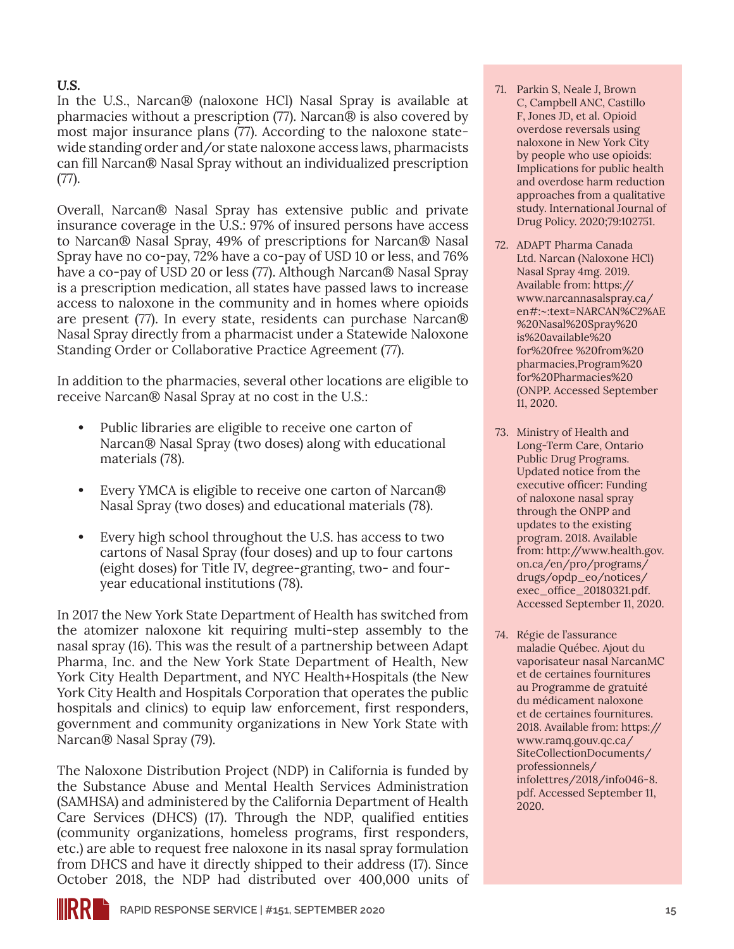#### *U.S.*

In the U.S., Narcan® (naloxone HCl) Nasal Spray is available at pharmacies without a prescription (77). Narcan® is also covered by most major insurance plans (77). According to the naloxone statewide standing order and/or state naloxone access laws, pharmacists can fill Narcan® Nasal Spray without an individualized prescription (77).

Overall, Narcan® Nasal Spray has extensive public and private insurance coverage in the U.S.: 97% of insured persons have access to Narcan® Nasal Spray, 49% of prescriptions for Narcan® Nasal Spray have no co-pay, 72% have a co-pay of USD 10 or less, and 76% have a co-pay of USD 20 or less (77). Although Narcan® Nasal Spray is a prescription medication, all states have passed laws to increase access to naloxone in the community and in homes where opioids are present (77). In every state, residents can purchase Narcan® Nasal Spray directly from a pharmacist under a Statewide Naloxone Standing Order or Collaborative Practice Agreement (77).

In addition to the pharmacies, several other locations are eligible to receive Narcan® Nasal Spray at no cost in the U.S.:

- **•** Public libraries are eligible to receive one carton of Narcan® Nasal Spray (two doses) along with educational materials (78).
- **•** Every YMCA is eligible to receive one carton of Narcan® Nasal Spray (two doses) and educational materials (78).
- **•** Every high school throughout the U.S. has access to two cartons of Nasal Spray (four doses) and up to four cartons (eight doses) for Title IV, degree-granting, two- and fouryear educational institutions (78).

In 2017 the New York State Department of Health has switched from the atomizer naloxone kit requiring multi-step assembly to the nasal spray (16). This was the result of a partnership between Adapt Pharma, Inc. and the New York State Department of Health, New York City Health Department, and NYC Health+Hospitals (the New York City Health and Hospitals Corporation that operates the public hospitals and clinics) to equip law enforcement, first responders, government and community organizations in New York State with Narcan® Nasal Spray (79).

The Naloxone Distribution Project (NDP) in California is funded by the Substance Abuse and Mental Health Services Administration (SAMHSA) and administered by the California Department of Health Care Services (DHCS) (17). Through the NDP, qualified entities (community organizations, homeless programs, first responders, etc.) are able to request free naloxone in its nasal spray formulation from DHCS and have it directly shipped to their address (17). Since October 2018, the NDP had distributed over 400,000 units of

- 71. Parkin S, Neale J, Brown C, Campbell ANC, Castillo F, Jones JD, et al. Opioid overdose reversals using naloxone in New York City by people who use opioids: Implications for public health and overdose harm reduction approaches from a qualitative study. International Journal of Drug Policy. 2020;79:102751.
- 72. ADAPT Pharma Canada Ltd. Narcan (Naloxone HCl) Nasal Spray 4mg. 2019. Available from: [https://](https://www.narcannasalspray.ca/en#:~:text=NARCAN%C2%AE %20Nasal%20Spray%20is%20available%20for%20free %20from%20pharmacies,Program%20for%20Pharmacies%20(ONPP) [www.narcannasalspray.ca/](https://www.narcannasalspray.ca/en#:~:text=NARCAN%C2%AE %20Nasal%20Spray%20is%20available%20for%20free %20from%20pharmacies,Program%20for%20Pharmacies%20(ONPP) [en#:~:text=NARCAN%C2%AE](https://www.narcannasalspray.ca/en#:~:text=NARCAN%C2%AE %20Nasal%20Spray%20is%20available%20for%20free %20from%20pharmacies,Program%20for%20Pharmacies%20(ONPP) [%20Nasal%20Spray%20](https://www.narcannasalspray.ca/en#:~:text=NARCAN%C2%AE %20Nasal%20Spray%20is%20available%20for%20free %20from%20pharmacies,Program%20for%20Pharmacies%20(ONPP) [is%20available%20](https://www.narcannasalspray.ca/en#:~:text=NARCAN%C2%AE %20Nasal%20Spray%20is%20available%20for%20free %20from%20pharmacies,Program%20for%20Pharmacies%20(ONPP) [for%20free %20from%20](https://www.narcannasalspray.ca/en#:~:text=NARCAN%C2%AE %20Nasal%20Spray%20is%20available%20for%20free %20from%20pharmacies,Program%20for%20Pharmacies%20(ONPP) [pharmacies,Program%20](https://www.narcannasalspray.ca/en#:~:text=NARCAN%C2%AE %20Nasal%20Spray%20is%20available%20for%20free %20from%20pharmacies,Program%20for%20Pharmacies%20(ONPP) [for%20Pharmacies%20](https://www.narcannasalspray.ca/en#:~:text=NARCAN%C2%AE %20Nasal%20Spray%20is%20available%20for%20free %20from%20pharmacies,Program%20for%20Pharmacies%20(ONPP) [\(ONPP.](https://www.narcannasalspray.ca/en#:~:text=NARCAN%C2%AE %20Nasal%20Spray%20is%20available%20for%20free %20from%20pharmacies,Program%20for%20Pharmacies%20(ONPP) Accessed September 11, 2020.
- 73. Ministry of Health and Long-Term Care, Ontario Public Drug Programs. Updated notice from the executive officer: Funding of naloxone nasal spray through the ONPP and updates to the existing program. 2018. Available from: [http://www.health.gov.](http://www.health.gov.on.ca/en/pro/programs/drugs/opdp_eo/notices/exec_office_20180321.pdf) [on.ca/en/pro/programs/](http://www.health.gov.on.ca/en/pro/programs/drugs/opdp_eo/notices/exec_office_20180321.pdf) [drugs/opdp\\_eo/notices/](http://www.health.gov.on.ca/en/pro/programs/drugs/opdp_eo/notices/exec_office_20180321.pdf) [exec\\_office\\_20180321.pdf](http://www.health.gov.on.ca/en/pro/programs/drugs/opdp_eo/notices/exec_office_20180321.pdf). Accessed September 11, 2020.
- 74. Régie de l'assurance maladie Québec. Ajout du vaporisateur nasal NarcanMC et de certaines fournitures au Programme de gratuité du médicament naloxone et de certaines fournitures. 2018. Available from: [https://](https://www.ramq.gouv.qc.ca/SiteCollectionDocuments/professionnels/infolettres/2018/info046-8.pdf) [www.ramq.gouv.qc.ca/](https://www.ramq.gouv.qc.ca/SiteCollectionDocuments/professionnels/infolettres/2018/info046-8.pdf) [SiteCollectionDocuments/](https://www.ramq.gouv.qc.ca/SiteCollectionDocuments/professionnels/infolettres/2018/info046-8.pdf) [professionnels/](https://www.ramq.gouv.qc.ca/SiteCollectionDocuments/professionnels/infolettres/2018/info046-8.pdf) [infolettres/2018/info046-8.](https://www.ramq.gouv.qc.ca/SiteCollectionDocuments/professionnels/infolettres/2018/info046-8.pdf) [pdf.](https://www.ramq.gouv.qc.ca/SiteCollectionDocuments/professionnels/infolettres/2018/info046-8.pdf) Accessed September 11, 2020.

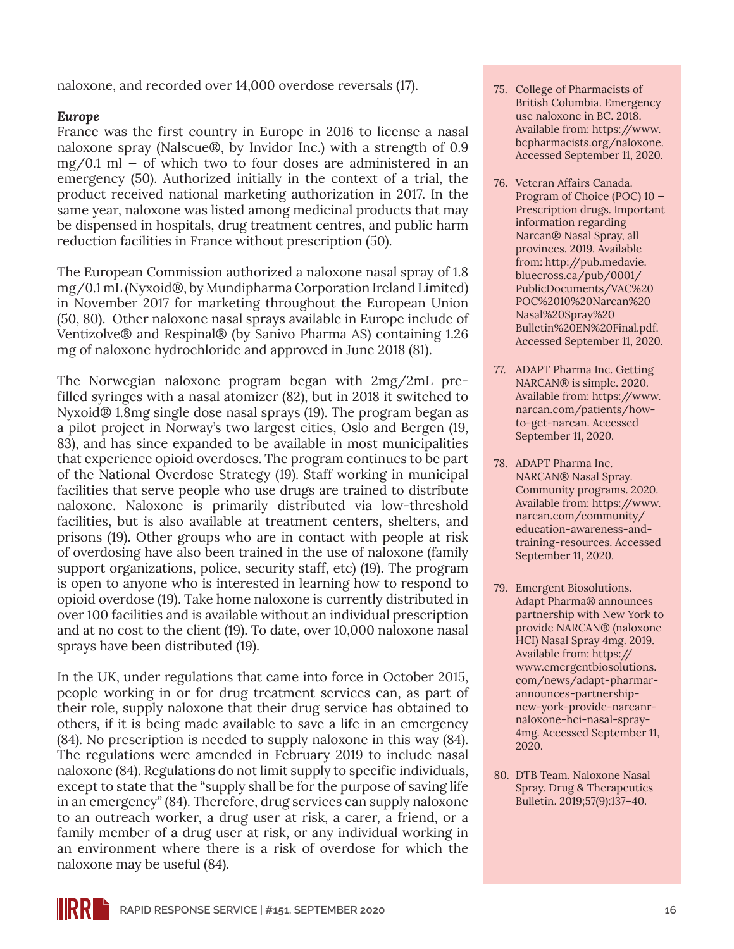naloxone, and recorded over 14,000 overdose reversals (17).

#### *Europe*

France was the first country in Europe in 2016 to license a nasal naloxone spray (Nalscue®, by Invidor Inc.) with a strength of 0.9  $mg/0.1$  ml – of which two to four doses are administered in an emergency (50). Authorized initially in the context of a trial, the product received national marketing authorization in 2017. In the same year, naloxone was listed among medicinal products that may be dispensed in hospitals, drug treatment centres, and public harm reduction facilities in France without prescription (50).

The European Commission authorized a naloxone nasal spray of 1.8 mg/0.1 mL (Nyxoid®, by Mundipharma Corporation Ireland Limited) in November 2017 for marketing throughout the European Union (50, 80). Other naloxone nasal sprays available in Europe include of Ventizolve® and Respinal® (by Sanivo Pharma AS) containing 1.26 mg of naloxone hydrochloride and approved in June 2018 (81).

The Norwegian naloxone program began with 2mg/2mL prefilled syringes with a nasal atomizer (82), but in 2018 it switched to Nyxoid® 1.8mg single dose nasal sprays (19). The program began as a pilot project in Norway's two largest cities, Oslo and Bergen (19, 83), and has since expanded to be available in most municipalities that experience opioid overdoses. The program continues to be part of the National Overdose Strategy (19). Staff working in municipal facilities that serve people who use drugs are trained to distribute naloxone. Naloxone is primarily distributed via low-threshold facilities, but is also available at treatment centers, shelters, and prisons (19). Other groups who are in contact with people at risk of overdosing have also been trained in the use of naloxone (family support organizations, police, security staff, etc) (19). The program is open to anyone who is interested in learning how to respond to opioid overdose (19). Take home naloxone is currently distributed in over 100 facilities and is available without an individual prescription and at no cost to the client (19). To date, over 10,000 naloxone nasal sprays have been distributed (19).

In the UK, under regulations that came into force in October 2015, people working in or for drug treatment services can, as part of their role, supply naloxone that their drug service has obtained to others, if it is being made available to save a life in an emergency (84). No prescription is needed to supply naloxone in this way (84). The regulations were amended in February 2019 to include nasal naloxone (84). Regulations do not limit supply to specific individuals, except to state that the "supply shall be for the purpose of saving life in an emergency" (84). Therefore, drug services can supply naloxone to an outreach worker, a drug user at risk, a carer, a friend, or a family member of a drug user at risk, or any individual working in an environment where there is a risk of overdose for which the naloxone may be useful (84).

- 75. College of Pharmacists of British Columbia. Emergency use naloxone in BC. 2018. Available from: [https://www.](https://www.bcpharmacists.org/naloxone) [bcpharmacists.org/naloxone.](https://www.bcpharmacists.org/naloxone) Accessed September 11, 2020.
- 76. Veteran Affairs Canada. Program of Choice (POC) 10 — Prescription drugs. Important information regarding Narcan® Nasal Spray, all provinces. 2019. Available from: [http://pub.medavie.](http://pub.medavie.bluecross.ca/pub/0001/PublicDocuments/VAC%20POC%2010%20Narcan%20Nasal%20Spray%20Bulletin%20EN%20Final.pdf) [bluecross.ca/pub/0001/](http://pub.medavie.bluecross.ca/pub/0001/PublicDocuments/VAC%20POC%2010%20Narcan%20Nasal%20Spray%20Bulletin%20EN%20Final.pdf) [PublicDocuments/VAC%20](http://pub.medavie.bluecross.ca/pub/0001/PublicDocuments/VAC%20POC%2010%20Narcan%20Nasal%20Spray%20Bulletin%20EN%20Final.pdf) [POC%2010%20Narcan%20](http://pub.medavie.bluecross.ca/pub/0001/PublicDocuments/VAC%20POC%2010%20Narcan%20Nasal%20Spray%20Bulletin%20EN%20Final.pdf) [Nasal%20Spray%20](http://pub.medavie.bluecross.ca/pub/0001/PublicDocuments/VAC%20POC%2010%20Narcan%20Nasal%20Spray%20Bulletin%20EN%20Final.pdf) [Bulletin%20EN%20Final.pdf](http://pub.medavie.bluecross.ca/pub/0001/PublicDocuments/VAC%20POC%2010%20Narcan%20Nasal%20Spray%20Bulletin%20EN%20Final.pdf). Accessed September 11, 2020.
- 77. ADAPT Pharma Inc. Getting NARCAN® is simple. 2020. Available from: [https://www.](https://www.narcan.com/patients/how-to-get-narcan) [narcan.com/patients/how](https://www.narcan.com/patients/how-to-get-narcan)[to-get-narcan.](https://www.narcan.com/patients/how-to-get-narcan) Accessed September 11, 2020.
- 78. ADAPT Pharma Inc. NARCAN® Nasal Spray. Community programs. 2020. Available from: [https://www.](https://www.narcan.com/community/education-awareness-and-training-resources) [narcan.com/community/](https://www.narcan.com/community/education-awareness-and-training-resources) [education-awareness-and](https://www.narcan.com/community/education-awareness-and-training-resources)[training-resources.](https://www.narcan.com/community/education-awareness-and-training-resources) Accessed September 11, 2020.
- 79. Emergent Biosolutions. Adapt Pharma® announces partnership with New York to provide NARCAN® (naloxone HCI) Nasal Spray 4mg. 2019. Available from: [https://](https://www.emergentbiosolutions.com/news/adapt-pharmar-announces-partnership-new-york-provide-narcanr-naloxone-hci-nasal-spray-4mg) [www.emergentbiosolutions.](https://www.emergentbiosolutions.com/news/adapt-pharmar-announces-partnership-new-york-provide-narcanr-naloxone-hci-nasal-spray-4mg) [com/news/adapt-pharmar](https://www.emergentbiosolutions.com/news/adapt-pharmar-announces-partnership-new-york-provide-narcanr-naloxone-hci-nasal-spray-4mg)[announces-partnership](https://www.emergentbiosolutions.com/news/adapt-pharmar-announces-partnership-new-york-provide-narcanr-naloxone-hci-nasal-spray-4mg)[new-york-provide-narcanr](https://www.emergentbiosolutions.com/news/adapt-pharmar-announces-partnership-new-york-provide-narcanr-naloxone-hci-nasal-spray-4mg)[naloxone-hci-nasal-spray-](https://www.emergentbiosolutions.com/news/adapt-pharmar-announces-partnership-new-york-provide-narcanr-naloxone-hci-nasal-spray-4mg)[4mg](https://www.emergentbiosolutions.com/news/adapt-pharmar-announces-partnership-new-york-provide-narcanr-naloxone-hci-nasal-spray-4mg). Accessed September 11, 2020.
- 80. DTB Team. Naloxone Nasal Spray. Drug & Therapeutics Bulletin. 2019;57(9):137–40.